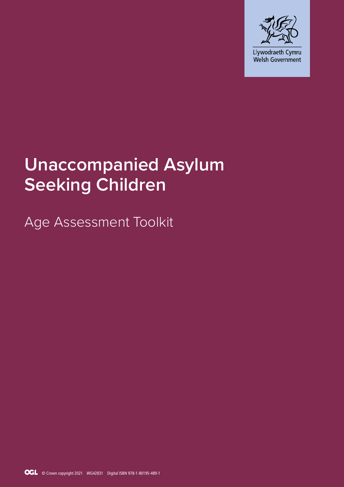

# **Unaccompanied Asylum Seeking Children**

Age Assessment Toolkit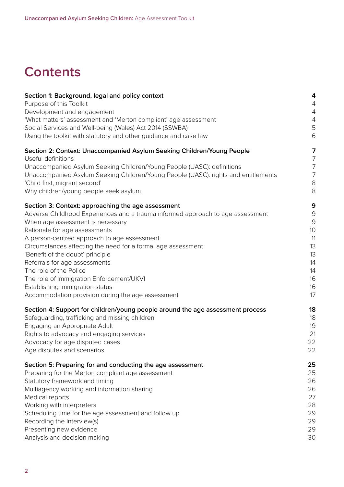## **Contents**

| Section 1: Background, legal and policy context                                    | 4                                |
|------------------------------------------------------------------------------------|----------------------------------|
| Purpose of this Toolkit<br>Development and engagement                              | $\overline{4}$<br>$\overline{4}$ |
| 'What matters' assessment and 'Merton compliant' age assessment                    | 4                                |
| Social Services and Well-being (Wales) Act 2014 (SSWBA)                            | 5                                |
| Using the toolkit with statutory and other guidance and case law                   | $6\,$                            |
|                                                                                    |                                  |
| Section 2: Context: Unaccompanied Asylum Seeking Children/Young People             | 7                                |
| Useful definitions                                                                 | 7                                |
| Unaccompanied Asylum Seeking Children/Young People (UASC): definitions             | $\overline{7}$                   |
| Unaccompanied Asylum Seeking Children/Young People (UASC): rights and entitlements | $\overline{7}$                   |
| 'Child first, migrant second'                                                      | $\,8\,$                          |
| Why children/young people seek asylum                                              | 8                                |
| Section 3: Context: approaching the age assessment                                 | 9                                |
| Adverse Childhood Experiences and a trauma informed approach to age assessment     | $\Theta$                         |
| When age assessment is necessary                                                   | 9                                |
| Rationale for age assessments                                                      | 10                               |
| A person-centred approach to age assessment                                        | 11                               |
| Circumstances affecting the need for a formal age assessment                       | 13                               |
| 'Benefit of the doubt' principle                                                   | 13                               |
| Referrals for age assessments                                                      | 14                               |
| The role of the Police                                                             | 14                               |
| The role of Immigration Enforcement/UKVI                                           | 16                               |
| Establishing immigration status                                                    | 16                               |
| Accommodation provision during the age assessment                                  | 17                               |
| Section 4: Support for children/young people around the age assessment process     | 18                               |
| Safeguarding, trafficking and missing children                                     | 18                               |
| Engaging an Appropriate Adult                                                      | 19                               |
| Rights to advocacy and engaging services                                           | 21                               |
| Advocacy for age disputed cases                                                    | 22                               |
| Age disputes and scenarios                                                         | 22                               |
| Section 5: Preparing for and conducting the age assessment                         | 25                               |
| Preparing for the Merton compliant age assessment                                  | 25                               |
| Statutory framework and timing                                                     | 26                               |
| Multiagency working and information sharing                                        | 26                               |
| Medical reports                                                                    | 27                               |
| Working with interpreters                                                          | 28                               |
| Scheduling time for the age assessment and follow up                               | 29                               |
| Recording the interview(s)                                                         | 29                               |
| Presenting new evidence                                                            | 29                               |
| Analysis and decision making                                                       | 30                               |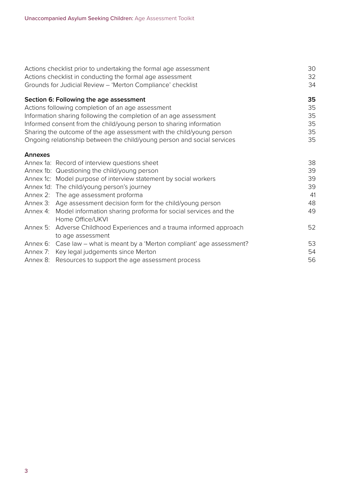|                | Actions checklist prior to undertaking the formal age assessment          | 30 |
|----------------|---------------------------------------------------------------------------|----|
|                | Actions checklist in conducting the formal age assessment                 | 32 |
|                | Grounds for Judicial Review - 'Merton Compliance' checklist               | 34 |
|                | Section 6: Following the age assessment                                   | 35 |
|                | Actions following completion of an age assessment                         | 35 |
|                | Information sharing following the completion of an age assessment         | 35 |
|                | Informed consent from the child/young person to sharing information       | 35 |
|                | Sharing the outcome of the age assessment with the child/young person     | 35 |
|                | Ongoing relationship between the child/young person and social services   | 35 |
| <b>Annexes</b> |                                                                           |    |
|                | Annex 1a: Record of interview questions sheet                             | 38 |
|                | Annex 1b: Questioning the child/young person                              | 39 |
|                | Annex 1c: Model purpose of interview statement by social workers          | 39 |
|                | Annex 1d: The child/young person's journey                                | 39 |
|                | Annex 2: The age assessment proforma                                      | 41 |
|                | Annex 3: Age assessment decision form for the child/young person          | 48 |
| Annex 4:       | Model information sharing proforma for social services and the            | 49 |
|                | Home Office/UKVI                                                          |    |
| Annex 5:       | Adverse Childhood Experiences and a trauma informed approach              | 52 |
|                | to age assessment                                                         |    |
|                | Annex 6: Case law – what is meant by a 'Merton compliant' age assessment? | 53 |
|                | Annex 7: Key legal judgements since Merton                                | 54 |
|                | Annex 8: Resources to support the age assessment process                  | 56 |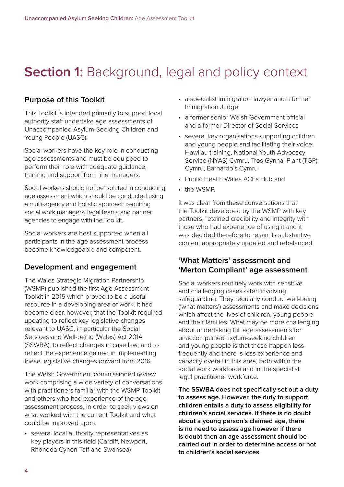## **Section 1: Background, legal and policy context**

## **Purpose of this Toolkit**

This Toolkit is intended primarily to support local authority staff undertake age assessments of Unaccompanied Asylum-Seeking Children and Young People (UASC).

Social workers have the key role in conducting age assessments and must be equipped to perform their role with adequate guidance, training and support from line managers.

Social workers should not be isolated in conducting age assessment which should be conducted using a multi-agency and holistic approach requiring social work managers, legal teams and partner agencies to engage with the Toolkit.

Social workers are best supported when all participants in the age assessment process become knowledgeable and competent.

## **Development and engagement**

The Wales Strategic Migration Partnership (WSMP) published the first Age Assessment Toolkit in 2015 which proved to be a useful resource in a developing area of work. It had become clear, however, that the Toolkit required updating to reflect key legislative changes relevant to UASC, in particular the Social Services and Well-being (Wales) Act 2014 (SSWBA); to reflect changes in case law; and to reflect the experience gained in implementing these legislative changes onward from 2016.

The Welsh Government commissioned review work comprising a wide variety of conversations with practitioners familiar with the WSMP Toolkit and others who had experience of the age assessment process, in order to seek views on what worked with the current Toolkit and what could be improved upon:

• several local authority representatives as key players in this field (Cardiff, Newport, Rhondda Cynon Taff and Swansea)

- a specialist Immigration lawyer and a former Immigration Judge
- a former senior Welsh Government official and a former Director of Social Services
- several key organisations supporting children and young people and facilitating their voice: Hawliau training, National Youth Advocacy Service (NYAS) Cymru, Tros Gynnal Plant (TGP) Cymru, Barnardo's Cymru
- Public Health Wales ACEs Hub and
- the WSMP

It was clear from these conversations that the Toolkit developed by the WSMP with key partners, retained credibility and integrity with those who had experience of using it and it was decided therefore to retain its substantive content appropriately updated and rebalanced.

## **'What Matters' assessment and 'Merton Compliant' age assessment**

Social workers routinely work with sensitive and challenging cases often involving safeguarding. They regularly conduct well-being ('what matters') assessments and make decisions which affect the lives of children, young people and their families. What may be more challenging about undertaking full age assessments for unaccompanied asylum-seeking children and young people is that these happen less frequently and there is less experience and capacity overall in this area, both within the social work workforce and in the specialist legal practitioner workforce.

**The SSWBA does not specifically set out a duty to assess age. However, the duty to support children entails a duty to assess eligibility for children's social services. If there is no doubt about a young person's claimed age, there is no need to assess age however if there is doubt then an age assessment should be carried out in order to determine access or not to children's social services.**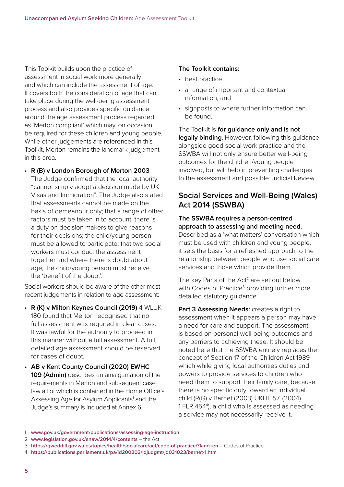This Toolkit builds upon the practice of assessment in social work more generally and which can include the assessment of age. It covers both the consideration of age that can take place during the well-being assessment process and also provides specific guidance around the age assessment process regarded as 'Merton compliant' which may, on occasion, be required for these children and young people. While other judgements are referenced in this Toolkit, Merton remains the landmark judgement in this area.

#### • **R (B) v London Borough of Merton 2003**

The Judge confirmed that the local authority "cannot simply adopt a decision made by UK Visas and Immigration". The Judge also stated that assessments cannot be made on the basis of demeanour only; that a range of other factors must be taken in to account; there is a duty on decision makers to give reasons for their decisions; the child/young person must be allowed to participate; that two social workers must conduct the assessment together and where there is doubt about age, the child/young person must receive the 'benefit of the doubt'.

Social workers should be aware of the other most recent judgements in relation to age assessment:

- **R (K) v Milton Keynes Council (2019)** 4 WLUK 180 found that Merton recognised that no full assessment was required in clear cases. It was lawful for the authority to proceed in this manner without a full assessment. A full, detailed age assessment should be reserved for cases of doubt.
- **AB v Kent County Council (2020) EWHC 109 (Admin)** describes an amalgamation of the requirements in Merton and subsequent case law all of which is contained in the Home Office's Assessing Age for Asylum Applicants<sup>1</sup> and the Judge's summary is included at Annex 6.

#### **The Toolkit contains:**

- best practice
- a range of important and contextual information, and
- signposts to where further information can be found.

The Toolkit is **for guidance only and is not legally binding**. However, following this guidance alongside good social work practice and the SSWBA will not only ensure better well-being outcomes for the children/young people involved, but will help in preventing challenges to the assessment and possible Judicial Review.

## **Social Services and Well-Being (Wales) Act 2014 (SSWBA)**

#### **The SSWBA requires a person-centred approach to assessing and meeting need.**

Described as a 'what matters' conversation which must be used with children and young people, it sets the basis for a refreshed approach to the relationship between people who use social care services and those which provide them.

The key Parts of the Act<sup>2</sup> are set out below with Codes of Practice<sup>3</sup> providing further more detailed statutory guidance.

**Part 3 Assessing Needs: creates a right to** assessment when it appears a person may have a need for care and support. The assessment is based on personal well-being outcomes and any barriers to achieving these. It should be noted here that the SSWBA entirely replaces the concept of Section 17 of the Children Act 1989 which while giving local authorities duties and powers to provide services to children who need them to support their family care, because there is no specific duty toward an individual child (R(G) v Barnet (2003) UKHL 57, (2004) 1 FLR 454<sup>4</sup>), a child who is assessed as needing a service may not necessarily receive it.

<sup>1</sup> **[www.gov.uk/government/publications/assessing-age-instruction](https://www.gov.uk/government/publications/assessing-age-instruction)**

<sup>2</sup> **[www.legislation.gov.uk/anaw/2014/4/contents](https://www.legislation.gov.uk/anaw/2014/4/contents)** – the Act

<sup>3</sup> **<https://gweddill.gov.wales/topics/health/socialcare/act/code-of-practice/?lang=en>** – Codes of Practice

<sup>4</sup> **<https://publications.parliament.uk/pa/ld200203/ldjudgmt/jd031023/barnet-1.htm>**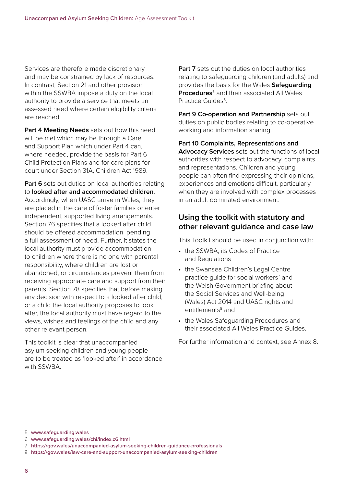Services are therefore made discretionary and may be constrained by lack of resources. In contrast, Section 21 and other provision within the SSWBA impose a duty on the local authority to provide a service that meets an assessed need where certain eligibility criteria are reached.

**Part 4 Meeting Needs** sets out how this need will be met which may be through a Care and Support Plan which under Part 4 can, where needed, provide the basis for Part 6 Child Protection Plans and for care plans for court under Section 31A, Children Act 1989.

**Part 6** sets out duties on local authorities relating to **looked after and accommodated children**. Accordingly, when UASC arrive in Wales, they are placed in the care of foster families or enter independent, supported living arrangements. Section 76 specifies that a looked after child should be offered accommodation, pending a full assessment of need. Further, it states the local authority must provide accommodation to children where there is no one with parental responsibility, where children are lost or abandoned, or circumstances prevent them from receiving appropriate care and support from their parents. Section 78 specifies that before making any decision with respect to a looked after child, or a child the local authority proposes to look after, the local authority must have regard to the views, wishes and feelings of the child and any other relevant person.

This toolkit is clear that unaccompanied asylum seeking children and young people are to be treated as 'looked after' in accordance with SSWRA

**Part 7** sets out the duties on local authorities relating to safeguarding children (and adults) and provides the basis for the Wales **Safeguarding Procedures**<sup>5</sup> and their associated All Wales Practice Guides<sup>6</sup>

Part 9 Co-operation and Partnership sets out duties on public bodies relating to co-operative working and information sharing.

**Part 10 Complaints, Representations and Advocacy Services** sets out the functions of local authorities with respect to advocacy, complaints and representations. Children and young people can often find expressing their opinions, experiences and emotions difficult, particularly when they are involved with complex processes in an adult dominated environment.

## **Using the toolkit with statutory and other relevant guidance and case law**

This Toolkit should be used in conjunction with:

- the SSWBA, its Codes of Practice and Regulations
- the Swansea Children's Legal Centre practice guide for social workers<sup>7</sup> and the Welsh Government briefing about the Social Services and Well-being (Wales) Act 2014 and UASC rights and entitlements<sup>8</sup> and
- the Wales Safeguarding Procedures and their associated All Wales Practice Guides.

For further information and context, see Annex 8.

<sup>5</sup> **[www.safeguarding.wales](http://www.safeguarding.wales)**

<sup>6</sup> **[www.safeguarding.wales/chi/index.c6.html](https://www.safeguarding.wales/chi/index.c6.html)**

<sup>7</sup> **<https://gov.wales/unaccompanied-asylum-seeking-children-guidance-professionals>**

<sup>8</sup> **<https://gov.wales/law-care-and-support-unaccompanied-asylum-seeking-children>**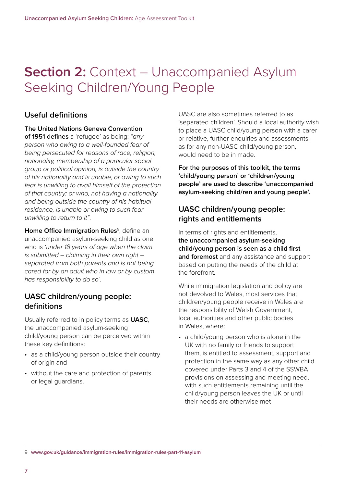## **Section 2: Context – Unaccompanied Asylum** Seeking Children/Young People

## **Useful definitions**

**The United Nations Geneva Convention** 

**of 1951 defines** a 'refugee' as being: *"any person who owing to a well-founded fear of being persecuted for reasons of race, religion, nationality, membership of a particular social group or political opinion, is outside the country of his nationality and is unable, or owing to such fear is unwilling to avail himself of the protection of that country; or who, not having a nationality and being outside the country of his habitual residence, is unable or owing to such fear unwilling to return to it"*.

**Home Office Immigration Rules**<sup>9</sup>, define an unaccompanied asylum-seeking child as one who is *'under 18 years of age when the claim is submitted – claiming in their own right – separated from both parents and is not being cared for by an adult who in law or by custom has responsibility to do so'*.

## **UASC children/young people: definitions**

Usually referred to in policy terms as **UASC**, the unaccompanied asylum-seeking child/young person can be perceived within these key definitions:

- as a child/young person outside their country of origin and
- without the care and protection of parents or legal guardians.

UASC are also sometimes referred to as 'separated children'. Should a local authority wish to place a UASC child/young person with a carer or relative, further enquiries and assessments, as for any non-UASC child/young person, would need to be in made.

**For the purposes of this toolkit, the terms 'child/young person' or 'children/young people' are used to describe 'unaccompanied asylum-seeking child/ren and young people'.**

## **UASC children/young people: rights and entitlements**

In terms of rights and entitlements, **the unaccompanied asylum-seeking child/young person is seen as a child first and foremost** and any assistance and support based on putting the needs of the child at the forefront.

While immigration legislation and policy are not devolved to Wales, most services that children/young people receive in Wales are the responsibility of Welsh Government, local authorities and other public bodies in Wales, where:

• a child/young person who is alone in the UK with no family or friends to support them, is entitled to assessment, support and protection in the same way as any other child covered under Parts 3 and 4 of the SSWBA provisions on assessing and meeting need, with such entitlements remaining until the child/young person leaves the UK or until their needs are otherwise met

9 **[www.gov.uk/guidance/immigration-rules/immigration-rules-part-11-asylum](https://www.gov.uk/guidance/immigration-rules/immigration-rules-part-11-asylum)**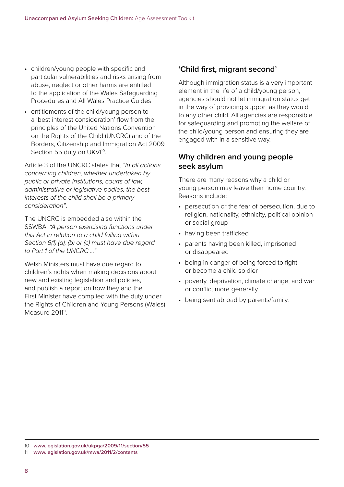- children/young people with specific and particular vulnerabilities and risks arising from abuse, neglect or other harms are entitled to the application of the Wales Safeguarding Procedures and All Wales Practice Guides
- entitlements of the child/young person to a 'best interest consideration' flow from the principles of the United Nations Convention on the Rights of the Child (UNCRC) and of the Borders, Citizenship and Immigration Act 2009 Section 55 duty on UKVI<sup>10</sup>.

Article 3 of the UNCRC states that *"In all actions concerning children, whether undertaken by public or private institutions, courts of law, administrative or legislative bodies, the best interests of the child shall be a primary consideration"*.

The UNCRC is embedded also within the SSWBA: *"A person exercising functions under this Act in relation to a child falling within Section 6(1) (a), (b) or (c) must have due regard to Part 1 of the UNCRC …"*

Welsh Ministers must have due regard to children's rights when making decisions about new and existing legislation and policies, and publish a report on how they and the First Minister have complied with the duty under the Rights of Children and Young Persons (Wales) Measure 2011<sup>11</sup>.

## **'Child first, migrant second'**

Although immigration status is a very important element in the life of a child/young person, agencies should not let immigration status get in the way of providing support as they would to any other child. All agencies are responsible for safeguarding and promoting the welfare of the child/young person and ensuring they are engaged with in a sensitive way.

## **Why children and young people seek asylum**

There are many reasons why a child or young person may leave their home country. Reasons include:

- persecution or the fear of persecution, due to religion, nationality, ethnicity, political opinion or social group
- having been trafficked
- parents having been killed, imprisoned or disappeared
- being in danger of being forced to fight or become a child soldier
- poverty, deprivation, climate change, and war or conflict more generally
- being sent abroad by parents/family.

<sup>10</sup> **[www.legislation.gov.uk/ukpga/2009/11/section/55](http://www.legislation.gov.uk/ukpga/2009/11/section/55)**

<sup>11</sup> **[www.legislation.gov.uk/mwa/2011/2/contents](https://www.legislation.gov.uk/mwa/2011/2/contents)**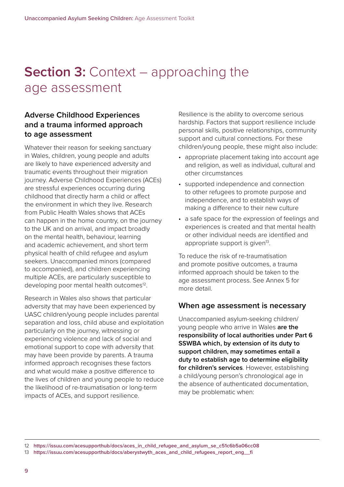## **Section 3: Context – approaching the** age assessment

## **Adverse Childhood Experiences and a trauma informed approach to age assessment**

Whatever their reason for seeking sanctuary in Wales, children, young people and adults are likely to have experienced adversity and traumatic events throughout their migration journey. Adverse Childhood Experiences (ACEs) are stressful experiences occurring during childhood that directly harm a child or affect the environment in which they live. Research from Public Health Wales shows that ACEs can happen in the home country, on the journey to the UK and on arrival, and impact broadly on the mental health, behaviour, learning and academic achievement, and short term physical health of child refugee and asylum seekers. Unaccompanied minors (compared to accompanied), and children experiencing multiple ACEs, are particularly susceptible to developing poor mental health outcomes<sup>12</sup>.

Research in Wales also shows that particular adversity that may have been experienced by UASC children/young people includes parental separation and loss, child abuse and exploitation particularly on the journey, witnessing or experiencing violence and lack of social and emotional support to cope with adversity that may have been provide by parents. A trauma informed approach recognises these factors and what would make a positive difference to the lives of children and young people to reduce the likelihood of re-traumatisation or long-term impacts of ACEs, and support resilience.

Resilience is the ability to overcome serious hardship. Factors that support resilience include personal skills, positive relationships, community support and cultural connections. For these children/young people, these might also include:

- appropriate placement taking into account age and religion, as well as individual, cultural and other circumstances
- supported independence and connection to other refugees to promote purpose and independence, and to establish ways of making a difference to their new culture
- a safe space for the expression of feelings and experiences is created and that mental health or other individual needs are identified and appropriate support is given<sup>13</sup>.

To reduce the risk of re-traumatisation and promote positive outcomes, a trauma informed approach should be taken to the age assessment process. See Annex 5 for more detail.

#### **When age assessment is necessary**

Unaccompanied asylum-seeking children/ young people who arrive in Wales **are the responsibility of local authorities under Part 6 SSWBA which, by extension of its duty to support children, may sometimes entail a duty to establish age to determine eligibility for children's services**. However, establishing a child/young person's chronological age in the absence of authenticated documentation, may be problematic when:

<sup>12</sup> **[https://issuu.com/acesupporthub/docs/aces\\_in\\_child\\_refugee\\_and\\_asylum\\_se\\_c51c6b5a06cc08](https://issuu.com/acesupporthub/docs/aces_in_child_refugee_and_asylum_se_c51c6b5a06cc08)**

<sup>13</sup> **[https://issuu.com/acesupporthub/docs/aberystwyth\\_aces\\_and\\_child\\_refugees\\_report\\_eng\\_\\_fi](https://issuu.com/acesupporthub/docs/aberystwyth_aces_and_child_refugees_report_eng__fi)**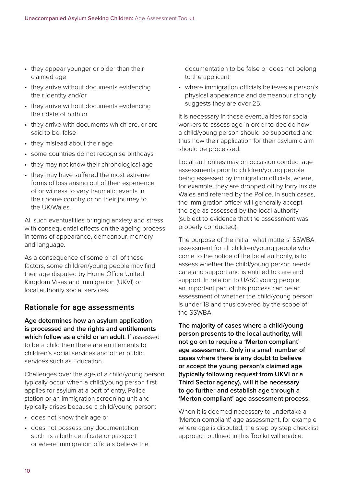- they appear younger or older than their claimed age
- they arrive without documents evidencing their identity and/or
- they arrive without documents evidencing their date of birth or
- they arrive with documents which are, or are said to be, false
- they mislead about their age
- some countries do not recognise birthdays
- they may not know their chronological age
- they may have suffered the most extreme forms of loss arising out of their experience of or witness to very traumatic events in their home country or on their journey to the UK/Wales.

All such eventualities bringing anxiety and stress with consequential effects on the ageing process in terms of appearance, demeanour, memory and language.

As a consequence of some or all of these factors, some children/young people may find their age disputed by Home Office United Kingdom Visas and Immigration (UKVI) or local authority social services.

## **Rationale for age assessments**

**Age determines how an asylum application is processed and the rights and entitlements which follow as a child or an adult**. If assessed to be a child then there are entitlements to children's social services and other public services such as Education.

Challenges over the age of a child/young person typically occur when a child/young person first applies for asylum at a port of entry, Police station or an immigration screening unit and typically arises because a child/young person:

- does not know their age or
- does not possess any documentation such as a birth certificate or passport, or where immigration officials believe the

documentation to be false or does not belong to the applicant

• where immigration officials believes a person's physical appearance and demeanour strongly suggests they are over 25.

It is necessary in these eventualities for social workers to assess age in order to decide how a child/young person should be supported and thus how their application for their asylum claim should be processed.

Local authorities may on occasion conduct age assessments prior to children/young people being assessed by immigration officials, where, for example, they are dropped off by lorry inside Wales and referred by the Police. In such cases, the immigration officer will generally accept the age as assessed by the local authority (subject to evidence that the assessment was properly conducted).

The purpose of the initial 'what matters' SSWBA assessment for all children/young people who come to the notice of the local authority, is to assess whether the child/young person needs care and support and is entitled to care and support. In relation to UASC young people, an important part of this process can be an assessment of whether the child/young person is under 18 and thus covered by the scope of the SSWBA.

**The majority of cases where a child/young person presents to the local authority, will not go on to require a 'Merton compliant' age assessment. Only in a small number of cases where there is any doubt to believe or accept the young person's claimed age (typically following request from UKVI or a Third Sector agency), will it be necessary to go further and establish age through a 'Merton compliant' age assessment process.**

When it is deemed necessary to undertake a 'Merton compliant' age assessment, for example where age is disputed, the step by step checklist approach outlined in this Toolkit will enable: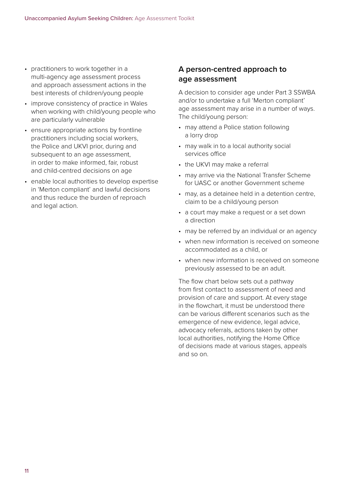- practitioners to work together in a multi-agency age assessment process and approach assessment actions in the best interests of children/young people
- improve consistency of practice in Wales when working with child/young people who are particularly vulnerable
- ensure appropriate actions by frontline practitioners including social workers, the Police and UKVI prior, during and subsequent to an age assessment, in order to make informed, fair, robust and child-centred decisions on age
- enable local authorities to develop expertise in 'Merton compliant' and lawful decisions and thus reduce the burden of reproach and legal action.

## **A person-centred approach to age assessment**

A decision to consider age under Part 3 SSWBA and/or to undertake a full 'Merton compliant' age assessment may arise in a number of ways. The child/young person:

- may attend a Police station following a lorry drop
- may walk in to a local authority social services office
- the UKVI may make a referral
- may arrive via the National Transfer Scheme for UASC or another Government scheme
- may, as a detainee held in a detention centre, claim to be a child/young person
- a court may make a request or a set down a direction
- may be referred by an individual or an agency
- when new information is received on someone accommodated as a child, or
- when new information is received on someone previously assessed to be an adult.

The flow chart below sets out a pathway from first contact to assessment of need and provision of care and support. At every stage in the flowchart, it must be understood there can be various different scenarios such as the emergence of new evidence, legal advice, advocacy referrals, actions taken by other local authorities, notifying the Home Office of decisions made at various stages, appeals and so on.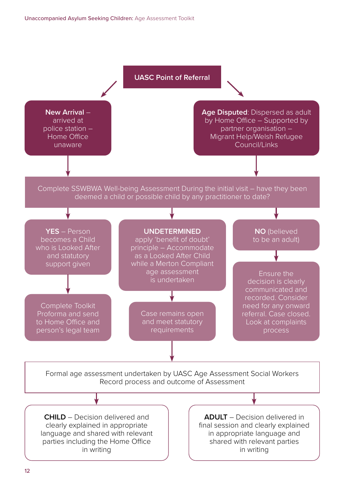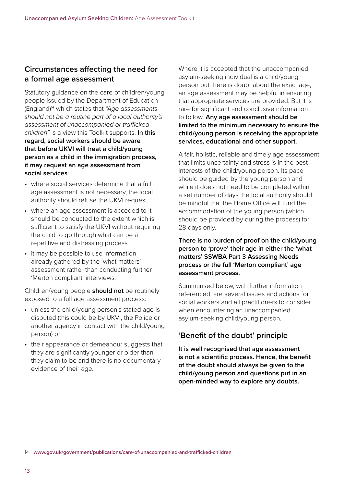## **Circumstances affecting the need for a formal age assessment**

Statutory guidance on the care of children/young people issued by the Department of Education (England)14 which states that *"Age assessments should not be a routine part of a local authority's assessment of unaccompanied or trafficked children"* is a view this Toolkit supports. **In this regard, social workers should be aware that before UKVI will treat a child/young person as a child in the immigration process, it may request an age assessment from social services**:

- where social services determine that a full age assessment is not necessary, the local authority should refuse the UKVI request
- where an age assessment is acceded to it should be conducted to the extent which is sufficient to satisfy the UKVI without requiring the child to go through what can be a repetitive and distressing process
- it may be possible to use information already gathered by the 'what matters' assessment rather than conducting further 'Merton compliant' interviews.

Children/young people **should not** be routinely exposed to a full age assessment process:

- unless the child/young person's stated age is disputed (this could be by UKVI, the Police or another agency in contact with the child/young person) or
- their appearance or demeanour suggests that they are significantly younger or older than they claim to be and there is no documentary evidence of their age.

Where it is accepted that the unaccompanied asylum-seeking individual is a child/young person but there is doubt about the exact age, an age assessment may be helpful in ensuring that appropriate services are provided. But it is rare for significant and conclusive information to follow. **Any age assessment should be limited to the minimum necessary to ensure the child/young person is receiving the appropriate services, educational and other support**.

A fair, holistic, reliable and timely age assessment that limits uncertainty and stress is in the best interests of the child/young person. Its pace should be guided by the young person and while it does not need to be completed within a set number of days the local authority should be mindful that the Home Office will fund the accommodation of the young person (which should be provided by during the process) for 28 days only.

#### **There is no burden of proof on the child/young person to 'prove' their age in either the 'what matters' SSWBA Part 3 Assessing Needs process or the full 'Merton compliant' age assessment process.**

Summarised below, with further information referenced, are several issues and actions for social workers and all practitioners to consider when encountering an unaccompanied asylum-seeking child/young person.

## **'Benefit of the doubt' principle**

**It is well recognised that age assessment is not a scientific process. Hence, the benefit of the doubt should always be given to the child/young person and questions put in an open-minded way to explore any doubts.**

14 **[www.gov.uk/government/publications/care-of-unaccompanied-and-trafficked-children](https://www.gov.uk/government/publications/care-of-unaccompanied-and-trafficked-children)**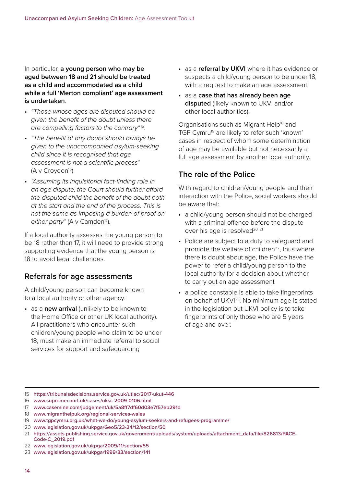In particular, **a young person who may be aged between 18 and 21 should be treated as a child and accommodated as a child while a full 'Merton compliant' age assessment is undertaken**.

- *"Those whose ages are disputed should be given the benefit of the doubt unless there are compelling factors to the contrary"*15.
- *"The benefit of any doubt should always be given to the unaccompanied asylum-seeking child since it is recognised that age assessment is not a scientific process"*  $(A \vee Croydon^{16})$
- *"Assuming its inquisitorial fact-finding role in an age dispute, the Court should further afford the disputed child the benefit of the doubt both at the start and the end of the process. This is not the same as imposing a burden of proof on*  either party" (A v Camden<sup>17</sup>).

If a local authority assesses the young person to be 18 rather than 17, it will need to provide strong supporting evidence that the young person is 18 to avoid legal challenges.

## **Referrals for age assessments**

A child/young person can become known to a local authority or other agency:

• as a **new arrival** (unlikely to be known to the Home Office or other UK local authority). All practitioners who encounter such children/young people who claim to be under 18, must make an immediate referral to social services for support and safeguarding

- as a **referral by UKVI** where it has evidence or suspects a child/young person to be under 18, with a request to make an age assessment
- as a **case that has already been age disputed** (likely known to UKVI and/or other local authorities).

Organisations such as Migrant Help<sup>18</sup> and TGP Cymru<sup>19</sup> are likely to refer such 'known' cases in respect of whom some determination of age may be available but not necessarily a full age assessment by another local authority.

## **The role of the Police**

With regard to children/young people and their interaction with the Police, social workers should be aware that:

- a child/young person should not be charged with a criminal offence before the dispute over his age is resolved<sup>20</sup><sup>21</sup>
- Police are subject to a duty to safeguard and promote the welfare of children<sup>22</sup>, thus where there is doubt about age, the Police have the power to refer a child/young person to the local authority for a decision about whether to carry out an age assessment
- a police constable is able to take fingerprints on behalf of UKVI<sup>23</sup>. No minimum age is stated in the legislation but UKVI policy is to take fingerprints of only those who are 5 years of age and over.

- 15 **<https://tribunalsdecisions.service.gov.uk/utiac/2017-ukut-446>**
- 16 **[www.supremecourt.uk/cases/uksc-2009-0106.html](https://www.supremecourt.uk/cases/uksc-2009-0106.html)**
- 17 **[www.casemine.com/judgement/uk/5a8ff7df60d03e7f57eb291d](https://www.casemine.com/judgement/uk/5a8ff7df60d03e7f57eb291d)**
- 18 **[www.migranthelpuk.org/regional-services-wales](https://www.migranthelpuk.org/regional-services-wales)**
- 19 **[www.tgpcymru.org.uk/what-we-do/young-asylum-seekers-and-refugees-programme/](https://www.tgpcymru.org.uk/what-we-do/young-asylum-seekers-and-refugees-programme/)**
- 20 **[www.legislation.gov.uk/ukpga/Geo5/23-24/12/section/50](http://www.legislation.gov.uk/ukpga/Geo5/23-24/12/section/50)**
- 21 **[https://assets.publishing.service.gov.uk/government/uploads/system/uploads/attachment\\_data/file/826813/PACE-](https://assets.publishing.service.gov.uk/government/uploads/system/uploads/attachment_data/file/826813/PACE-Code-C_2019.pdf)[Code-C\\_2019.pdf](https://assets.publishing.service.gov.uk/government/uploads/system/uploads/attachment_data/file/826813/PACE-Code-C_2019.pdf)**
- 22 **[www.legislation.gov.uk/ukpga/2009/11/section/55](http://www.legislation.gov.uk/ukpga/2009/11/section/55)**
- 23 **[www.legislation.gov.uk/ukpga/1999/33/section/141](http://www.legislation.gov.uk/ukpga/1999/33/section/141)**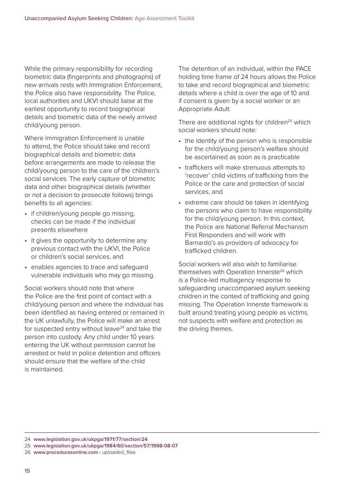While the primary responsibility for recording biometric data (fingerprints and photographs) of new arrivals rests with Immigration Enforcement, the Police also have responsibility. The Police, local authorities and UKVI should liaise at the earliest opportunity to record biographical details and biometric data of the newly arrived child/young person.

Where Immigration Enforcement is unable to attend, the Police should take and record biographical details and biometric data before arrangements are made to release the child/young person to the care of the children's social services. The early capture of biometric data and other biographical details (whether or not a decision to prosecute follows) brings benefits to all agencies:

- if children/young people go missing, checks can be made if the individual presents elsewhere
- it gives the opportunity to determine any previous contact with the UKVI, the Police or children's social services, and
- enables agencies to trace and safeguard vulnerable individuals who may go missing.

Social workers should note that where the Police are the first point of contact with a child/young person and where the individual has been identified as having entered or remained in the UK unlawfully, the Police will make an arrest for suspected entry without leave $24$  and take the person into custody. Any child under 10 years entering the UK without permission cannot be arrested or held in police detention and officers should ensure that the welfare of the child is maintained.

The detention of an individual, within the PACE holding time frame of 24 hours allows the Police to take and record biographical and biometric details where a child is over the age of 10 and if consent is given by a social worker or an Appropriate Adult.

There are additional rights for children<sup>25</sup> which social workers should note:

- the identity of the person who is responsible for the child/young person's welfare should be ascertained as soon as is practicable
- traffickers will make strenuous attempts to 'recover' child victims of trafficking from the Police or the care and protection of social services, and
- extreme care should be taken in identifying the persons who claim to have responsibility for the child/young person. In this context, the Police are National Referral Mechanism First Responders and will work with Barnardo's as providers of advocacy for trafficked children.

Social workers will also wish to familiarise themselves with Operation Innerste<sup>26</sup> which is a Police-led multiagency response to safeguarding unaccompanied asylum seeking children in the context of trafficking and going missing. The Operation Innerste framework is built around treating young people as victims, not suspects with welfare and protection as the driving themes.

<sup>24</sup> **[www.legislation.gov.uk/ukpga/1971/77/section/24](http://www.legislation.gov.uk/ukpga/1971/77/section/24)**

<sup>25</sup> **[www.legislation.gov.uk/ukpga/1984/60/section/57/1998-08-07](http://www.legislation.gov.uk/ukpga/1984/60/section/57/1998-08-07)**

<sup>26</sup> **[www.proceduresonline.com](http://www.proceduresonline.com)** › uploaded\_files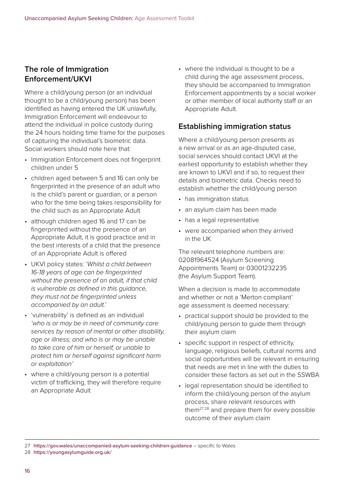## **The role of Immigration Enforcement/UKVI**

Where a child/young person (or an individual thought to be a child/young person) has been identified as having entered the UK unlawfully, Immigration Enforcement will endeavour to attend the individual in police custody during the 24 hours holding time frame for the purposes of capturing the individual's biometric data. Social workers should note here that:

- Immigration Enforcement does not fingerprint children under 5
- children aged between 5 and 16 can only be fingerprinted in the presence of an adult who is the child's parent or guardian, or a person who for the time being takes responsibility for the child such as an Appropriate Adult
- although children aged 16 and 17 can be fingerprinted without the presence of an Appropriate Adult, it is good practice and in the best interests of a child that the presence of an Appropriate Adult is offered
- UKVI policy states: *'Whilst a child between 16-18 years of age can be fingerprinted without the presence of an adult, if that child is vulnerable as defined in this guidance, they must not be fingerprinted unless accompanied by an adult.'*
- 'vulnerability' is defined as an individual *'who is or may be in need of community care services by reason of mental or other disability, age or illness; and who is or may be unable to take care of him or herself, or unable to protect him or herself against significant harm or exploitation'*
- where a child/young person is a potential victim of trafficking, they will therefore require an Appropriate Adult

• where the individual is thought to be a child during the age assessment process, they should be accompanied to Immigration Enforcement appointments by a social worker or other member of local authority staff or an Appropriate Adult.

## **Establishing immigration status**

Where a child/young person presents as a new arrival or as an age-disputed case, social services should contact UKVI at the earliest opportunity to establish whether they are known to UKVI and if so, to request their details and biometric data. Checks need to establish whether the child/young person

- has immigration status
- an asylum claim has been made
- has a legal representative
- were accompanied when they arrived in the UK

The relevant telephone numbers are: 02081964524 (Asylum Screening Appointments Team) or 03001232235 (the Asylum Support Team).

When a decision is made to accommodate and whether or not a 'Merton compliant' age assessment is deemed necessary:

- practical support should be provided to the child/young person to guide them through their asylum claim
- specific support in respect of ethnicity, language, religious beliefs, cultural norms and social opportunities will be relevant in ensuring that needs are met in line with the duties to consider these factors as set out in the SSWBA
- legal representation should be identified to inform the child/young person of the asylum process, share relevant resources with them<sup>27,28</sup> and prepare them for every possible outcome of their asylum claim

28 **<https://youngasylumguide.org.uk/>**

<sup>27</sup> **<https://gov.wales/unaccompanied-asylum-seeking-children-guidance>** – specific to Wales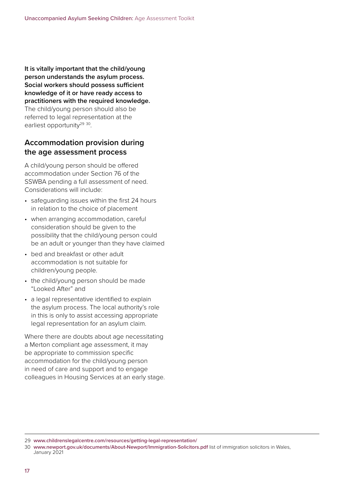**It is vitally important that the child/young person understands the asylum process. Social workers should possess sufficient knowledge of it or have ready access to practitioners with the required knowledge.** The child/young person should also be referred to legal representation at the earliest opportunity<sup>29 30</sup>.

## **Accommodation provision during the age assessment process**

A child/young person should be offered accommodation under Section 76 of the SSWBA pending a full assessment of need. Considerations will include:

- safeguarding issues within the first 24 hours in relation to the choice of placement
- when arranging accommodation, careful consideration should be given to the possibility that the child/young person could be an adult or younger than they have claimed
- bed and breakfast or other adult accommodation is not suitable for children/young people.
- the child/young person should be made "Looked After" and
- a legal representative identified to explain the asylum process. The local authority's role in this is only to assist accessing appropriate legal representation for an asylum claim.

Where there are doubts about age necessitating a Merton compliant age assessment, it may be appropriate to commission specific accommodation for the child/young person in need of care and support and to engage colleagues in Housing Services at an early stage.

<sup>29</sup> **[www.childrenslegalcentre.com/resources/getting-legal-representation/](https://www.childrenslegalcentre.com/resources/getting-legal-representation/)**

<sup>30</sup> **[www.newport.gov.uk/documents/About-Newport/Immigration-Solicitors.pdf](https://www.newport.gov.uk/documents/About-Newport/Immigration-Solicitors.pdf)** list of immigration solicitors in Wales, January 2021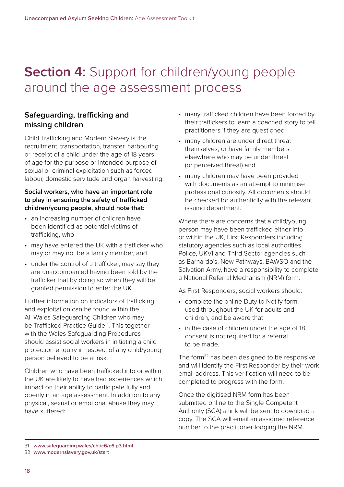## **Section 4:** Support for children/young people around the age assessment process

## **Safeguarding, trafficking and missing children**

Child Trafficking and Modern Slavery is the recruitment, transportation, transfer, harbouring or receipt of a child under the age of 18 years of age for the purpose or intended purpose of sexual or criminal exploitation such as forced labour, domestic servitude and organ harvesting.

#### **Social workers, who have an important role to play in ensuring the safety of trafficked children/young people, should note that:**

- an increasing number of children have been identified as potential victims of trafficking, who
- may have entered the UK with a trafficker who may or may not be a family member, and
- under the control of a trafficker, may say they are unaccompanied having been told by the trafficker that by doing so when they will be granted permission to enter the UK.

Further information on indicators of trafficking and exploitation can be found within the All Wales Safeguarding Children who may be Trafficked Practice Guide<sup>31</sup>. This together with the Wales Safeguarding Procedures should assist social workers in initiating a child protection enquiry in respect of any child/young person believed to be at risk.

Children who have been trafficked into or within the UK are likely to have had experiences which impact on their ability to participate fully and openly in an age assessment. In addition to any physical, sexual or emotional abuse they may have suffered:

- many trafficked children have been forced by their traffickers to learn a coached story to tell practitioners if they are questioned
- many children are under direct threat themselves, or have family members elsewhere who may be under threat (or perceived threat) and
- many children may have been provided with documents as an attempt to minimise professional curiosity. All documents should be checked for authenticity with the relevant issuing department.

Where there are concerns that a child/young person may have been trafficked either into or within the UK, First Responders including statutory agencies such as local authorities, Police, UKVI and Third Sector agencies such as Barnardo's, New Pathways, BAWSO and the Salvation Army, have a responsibility to complete a National Referral Mechanism (NRM) form.

As First Responders, social workers should:

- complete the online Duty to Notify form, used throughout the UK for adults and children, and be aware that
- in the case of children under the age of 18, consent is not required for a referral to be made.

The form<sup>32</sup> has been designed to be responsive and will identify the First Responder by their work email address. This verification will need to be completed to progress with the form.

Once the digitised NRM form has been submitted online to the Single Competent Authority (SCA) a link will be sent to download a copy. The SCA will email an assigned reference number to the practitioner lodging the NRM.

<sup>31</sup> **[www.safeguarding.wales/chi/c6/c6.p3.html](https://www.safeguarding.wales/chi/c6/c6.p3.html)**

<sup>32</sup> **[www.modernslavery.gov.uk/start](https://www.modernslavery.gov.uk/start)**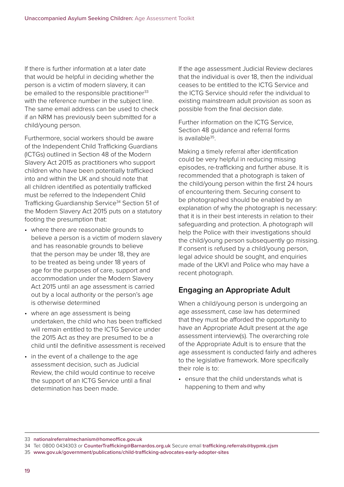If there is further information at a later date that would be helpful in deciding whether the person is a victim of modern slavery, it can be emailed to the responsible practitioner<sup>33</sup> with the reference number in the subject line. The same email address can be used to check if an NRM has previously been submitted for a child/young person.

Furthermore, social workers should be aware of the Independent Child Trafficking Guardians (ICTGs) outlined in Section 48 of the Modern Slavery Act 2015 as practitioners who support children who have been potentially trafficked into and within the UK and should note that all children identified as potentially trafficked must be referred to the Independent Child Trafficking Guardianship Service<sup>34</sup> Section 51 of the Modern Slavery Act 2015 puts on a statutory footing the presumption that:

- where there are reasonable grounds to believe a person is a victim of modern slavery and has reasonable grounds to believe that the person may be under 18, they are to be treated as being under 18 years of age for the purposes of care, support and accommodation under the Modern Slavery Act 2015 until an age assessment is carried out by a local authority or the person's age is otherwise determined
- where an age assessment is being undertaken, the child who has been trafficked will remain entitled to the ICTG Service under the 2015 Act as they are presumed to be a child until the definitive assessment is received
- in the event of a challenge to the age assessment decision, such as Judicial Review, the child would continue to receive the support of an ICTG Service until a final determination has been made.

If the age assessment Judicial Review declares that the individual is over 18, then the individual ceases to be entitled to the ICTG Service and the ICTG Service should refer the individual to existing mainstream adult provision as soon as possible from the final decision date.

Further information on the ICTG Service, Section 48 guidance and referral forms is available $35$ .

Making a timely referral after identification could be very helpful in reducing missing episodes, re-trafficking and further abuse. It is recommended that a photograph is taken of the child/young person within the first 24 hours of encountering them. Securing consent to be photographed should be enabled by an explanation of why the photograph is necessary: that it is in their best interests in relation to their safeguarding and protection. A photograph will help the Police with their investigations should the child/young person subsequently go missing. If consent is refused by a child/young person, legal advice should be sought, and enquiries made of the UKVI and Police who may have a recent photograph.

## **Engaging an Appropriate Adult**

When a child/young person is undergoing an age assessment, case law has determined that they must be afforded the opportunity to have an Appropriate Adult present at the age assessment interview(s). The overarching role of the Appropriate Adult is to ensure that the age assessment is conducted fairly and adheres to the legislative framework. More specifically their role is to:

• ensure that the child understands what is happening to them and why

33 **[nationalreferralmechanism@homeoffice.gov.uk](mailto:nationalreferralmechanism%40homeoffice.gov.uk?subject=)**

<sup>34</sup> Tel: 0800 0434303 or **[CounterTrafficking@Barnardos.org.uk](mailto:CounterTrafficking%40Barnardos.org.uk?subject=)** Secure email **[trafficking.referrals@bypmk.cjsm](mailto:trafficking.referrals%40bypmk.cjsm?subject=)**

<sup>35</sup> **[www.gov.uk/government/publications/child-trafficking-advocates-early-adopter-sites](https://www.gov.uk/government/publications/child-trafficking-advocates-early-adopter-sites)**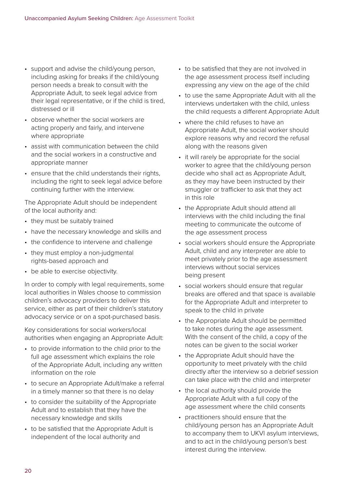- support and advise the child/young person, including asking for breaks if the child/young person needs a break to consult with the Appropriate Adult, to seek legal advice from their legal representative, or if the child is tired, distressed or ill
- observe whether the social workers are acting properly and fairly, and intervene where appropriate
- assist with communication between the child and the social workers in a constructive and appropriate manner
- ensure that the child understands their rights, including the right to seek legal advice before continuing further with the interview.

The Appropriate Adult should be independent of the local authority and:

- they must be suitably trained
- have the necessary knowledge and skills and
- the confidence to intervene and challenge
- they must employ a non-judgmental rights-based approach and
- be able to exercise objectivity.

In order to comply with legal requirements, some local authorities in Wales choose to commission children's advocacy providers to deliver this service, either as part of their children's statutory advocacy service or on a spot-purchased basis.

Key considerations for social workers/local authorities when engaging an Appropriate Adult:

- to provide information to the child prior to the full age assessment which explains the role of the Appropriate Adult, including any written information on the role
- to secure an Appropriate Adult/make a referral in a timely manner so that there is no delay
- to consider the suitability of the Appropriate Adult and to establish that they have the necessary knowledge and skills
- to be satisfied that the Appropriate Adult is independent of the local authority and
- to be satisfied that they are not involved in the age assessment process itself including expressing any view on the age of the child
- to use the same Appropriate Adult with all the interviews undertaken with the child, unless the child requests a different Appropriate Adult
- where the child refuses to have an Appropriate Adult, the social worker should explore reasons why and record the refusal along with the reasons given
- it will rarely be appropriate for the social worker to agree that the child/young person decide who shall act as Appropriate Adult, as they may have been instructed by their smuggler or trafficker to ask that they act in this role
- the Appropriate Adult should attend all interviews with the child including the final meeting to communicate the outcome of the age assessment process
- social workers should ensure the Appropriate Adult, child and any interpreter are able to meet privately prior to the age assessment interviews without social services being present
- social workers should ensure that regular breaks are offered and that space is available for the Appropriate Adult and interpreter to speak to the child in private
- the Appropriate Adult should be permitted to take notes during the age assessment. With the consent of the child, a copy of the notes can be given to the social worker
- the Appropriate Adult should have the opportunity to meet privately with the child directly after the interview so a debrief session can take place with the child and interpreter
- the local authority should provide the Appropriate Adult with a full copy of the age assessment where the child consents
- practitioners should ensure that the child/young person has an Appropriate Adult to accompany them to UKVI asylum interviews, and to act in the child/young person's best interest during the interview.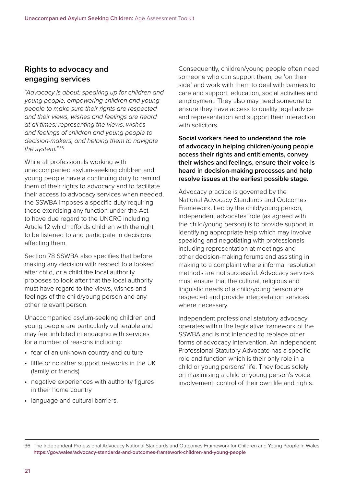#### **Rights to advocacy and engaging services**

*"Advocacy is about: speaking up for children and young people, empowering children and young people to make sure their rights are respected and their views, wishes and feelings are heard at all times; representing the views, wishes and feelings of children and young people to decision-makers, and helping them to navigate the system."* <sup>36</sup>

While all professionals working with unaccompanied asylum-seeking children and young people have a continuing duty to remind them of their rights to advocacy and to facilitate their access to advocacy services when needed, the SSWBA imposes a specific duty requiring those exercising any function under the Act to have due regard to the UNCRC including Article 12 which affords children with the right to be listened to and participate in decisions affecting them.

Section 78 SSWBA also specifies that before making any decision with respect to a looked after child, or a child the local authority proposes to look after that the local authority must have regard to the views, wishes and feelings of the child/young person and any other relevant person.

Unaccompanied asylum-seeking children and young people are particularly vulnerable and may feel inhibited in engaging with services for a number of reasons including:

- fear of an unknown country and culture
- little or no other support networks in the UK (family or friends)
- negative experiences with authority figures in their home country
- language and cultural barriers.

Consequently, children/young people often need someone who can support them, be 'on their side' and work with them to deal with barriers to care and support, education, social activities and employment. They also may need someone to ensure they have access to quality legal advice and representation and support their interaction with solicitors

**Social workers need to understand the role of advocacy in helping children/young people access their rights and entitlements, convey their wishes and feelings, ensure their voice is heard in decision-making processes and help resolve issues at the earliest possible stage.** 

Advocacy practice is governed by the National Advocacy Standards and Outcomes Framework. Led by the child/young person, independent advocates' role (as agreed with the child/young person) is to provide support in identifying appropriate help which may involve speaking and negotiating with professionals including representation at meetings and other decision-making forums and assisting in making to a complaint where informal resolution methods are not successful. Advocacy services must ensure that the cultural, religious and linguistic needs of a child/young person are respected and provide interpretation services where necessary.

Independent professional statutory advocacy operates within the legislative framework of the SSWBA and is not intended to replace other forms of advocacy intervention. An Independent Professional Statutory Advocate has a specific role and function which is their only role in a child or young persons' life. They focus solely on maximising a child or young person's voice, involvement, control of their own life and rights.

<sup>36</sup> The Independent Professional Advocacy National Standards and Outcomes Framework for Children and Young People in Wales **<https://gov.wales/advocacy-standards-and-outcomes-framework-children-and-young-people>**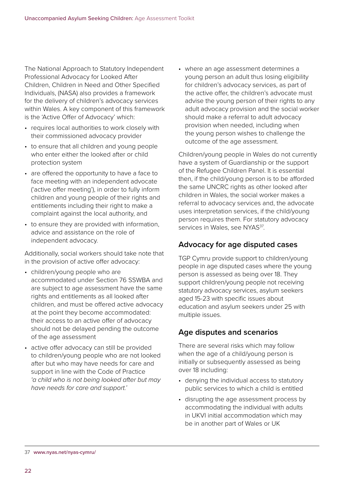The National Approach to Statutory Independent Professional Advocacy for Looked After Children, Children in Need and Other Specified Individuals, (NASA) also provides a framework for the delivery of children's advocacy services within Wales. A key component of this framework is the 'Active Offer of Advocacy' which:

- requires local authorities to work closely with their commissioned advocacy provider
- to ensure that all children and young people who enter either the looked after or child protection system
- are offered the opportunity to have a face to face meeting with an independent advocate ('active offer meeting'), in order to fully inform children and young people of their rights and entitlements including their right to make a complaint against the local authority, and
- to ensure they are provided with information, advice and assistance on the role of independent advocacy.

Additionally, social workers should take note that in the provision of active offer advocacy:

- children/young people who are accommodated under Section 76 SSWBA and are subject to age assessment have the same rights and entitlements as all looked after children, and must be offered active advocacy at the point they become accommodated: their access to an active offer of advocacy should not be delayed pending the outcome of the age assessment
- active offer advocacy can still be provided to children/young people who are not looked after but who may have needs for care and support in line with the Code of Practice *'a child who is not being looked after but may have needs for care and support.'*

• where an age assessment determines a young person an adult thus losing eligibility for children's advocacy services, as part of the active offer, the children's advocate must advise the young person of their rights to any adult advocacy provision and the social worker should make a referral to adult advocacy provision when needed, including when the young person wishes to challenge the outcome of the age assessment.

Children/young people in Wales do not currently have a system of Guardianship or the support of the Refugee Children Panel. It is essential then, if the child/young person is to be afforded the same UNCRC rights as other looked after children in Wales, the social worker makes a referral to advocacy services and, the advocate uses interpretation services, if the child/young person requires them. For statutory advocacy services in Wales, see NYAS<sup>37</sup>.

## **Advocacy for age disputed cases**

TGP Cymru provide support to children/young people in age disputed cases where the young person is assessed as being over 18. They support children/young people not receiving statutory advocacy services, asylum seekers aged 15-23 with specific issues about education and asylum seekers under 25 with multiple issues.

## **Age disputes and scenarios**

There are several risks which may follow when the age of a child/young person is initially or subsequently assessed as being over 18 including:

- denying the individual access to statutory public services to which a child is entitled
- disrupting the age assessment process by accommodating the individual with adults in UKVI initial accommodation which may be in another part of Wales or UK

37 **[www.nyas.net/nyas-cymru/](https://www.nyas.net/nyas-cymru/)**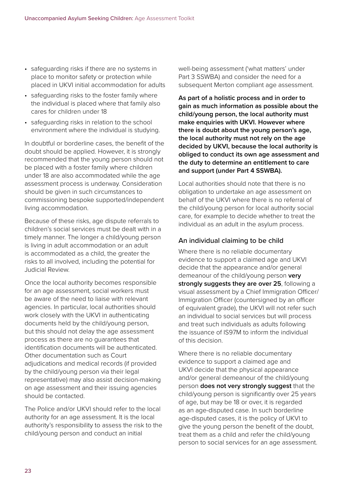- safeguarding risks if there are no systems in place to monitor safety or protection while placed in UKVI initial accommodation for adults
- safeguarding risks to the foster family where the individual is placed where that family also cares for children under 18
- safeguarding risks in relation to the school environment where the individual is studying.

In doubtful or borderline cases, the benefit of the doubt should be applied. However, it is strongly recommended that the young person should not be placed with a foster family where children under 18 are also accommodated while the age assessment process is underway. Consideration should be given in such circumstances to commissioning bespoke supported/independent living accommodation.

Because of these risks, age dispute referrals to children's social services must be dealt with in a timely manner. The longer a child/young person is living in adult accommodation or an adult is accommodated as a child, the greater the risks to all involved, including the potential for Judicial Review.

Once the local authority becomes responsible for an age assessment, social workers must be aware of the need to liaise with relevant agencies. In particular, local authorities should work closely with the UKVI in authenticating documents held by the child/young person, but this should not delay the age assessment process as there are no guarantees that identification documents will be authenticated. Other documentation such as Court adjudications and medical records (if provided by the child/young person via their legal representative) may also assist decision-making on age assessment and their issuing agencies should be contacted.

The Police and/or UKVI should refer to the local authority for an age assessment. It is the local authority's responsibility to assess the risk to the child/young person and conduct an initial

well-being assessment ('what matters' under Part 3 SSWBA) and consider the need for a subsequent Merton compliant age assessment.

**As part of a holistic process and in order to gain as much information as possible about the child/young person, the local authority must make enquiries with UKVI. However where there is doubt about the young person's age, the local authority must not rely on the age decided by UKVI, because the local authority is obliged to conduct its own age assessment and the duty to determine an entitlement to care and support (under Part 4 SSWBA).**

Local authorities should note that there is no obligation to undertake an age assessment on behalf of the UKVI where there is no referral of the child/young person for local authority social care, for example to decide whether to treat the individual as an adult in the asylum process.

#### An individual claiming to be child

Where there is no reliable documentary evidence to support a claimed age and UKVI decide that the appearance and/or general demeanour of the child/young person **very strongly suggests they are over 25**, following a visual assessment by a Chief Immigration Officer/ Immigration Officer (countersigned by an officer of equivalent grade), the UKVI will not refer such an individual to social services but will process and treat such individuals as adults following the issuance of IS97M to inform the individual of this decision.

Where there is no reliable documentary evidence to support a claimed age and UKVI decide that the physical appearance and/or general demeanour of the child/young person **does not very strongly suggest** that the child/young person is significantly over 25 years of age, but may be 18 or over, it is regarded as an age-disputed case. In such borderline age-disputed cases, it is the policy of UKVI to give the young person the benefit of the doubt, treat them as a child and refer the child/young person to social services for an age assessment.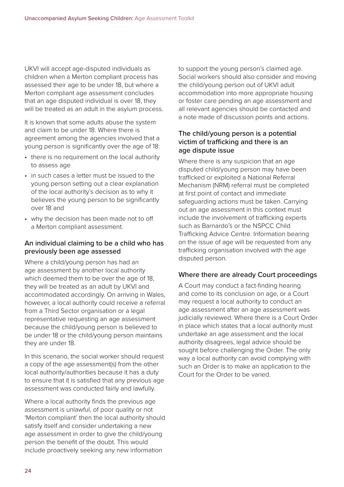UKVI will accept age-disputed individuals as children when a Merton compliant process has assessed their age to be under 18, but where a Merton compliant age assessment concludes that an age disputed individual is over 18, they will be treated as an adult in the asylum process.

It is known that some adults abuse the system and claim to be under 18. Where there is agreement among the agencies involved that a young person is significantly over the age of 18:

- there is no requirement on the local authority to assess age
- in such cases a letter must be issued to the young person setting out a clear explanation of the local authority's decision as to why it believes the young person to be significantly over 18 and
- why the decision has been made not to off a Merton compliant assessment.

#### An individual claiming to be a child who has previously been age assessed

Where a child/young person has had an age assessment by another local authority which deemed them to be over the age of 18, they will be treated as an adult by UKVI and accommodated accordingly. On arriving in Wales, however, a local authority could receive a referral from a Third Sector organisation or a legal representative requesting an age assessment because the child/young person is believed to be under 18 or the child/young person maintains they are under 18.

In this scenario, the social worker should request a copy of the age assessment(s) from the other local authority/authorities because it has a duty to ensure that it is satisfied that any previous age assessment was conducted fairly and lawfully.

Where a local authority finds the previous age assessment is unlawful, of poor quality or not 'Merton compliant' then the local authority should satisfy itself and consider undertaking a new age assessment in order to give the child/young person the benefit of the doubt. This would include proactively seeking any new information

to support the young person's claimed age. Social workers should also consider and moving the child/young person out of UKVI adult accommodation into more appropriate housing or foster care pending an age assessment and all relevant agencies should be contacted and a note made of discussion points and actions.

#### The child/young person is a potential victim of trafficking and there is an age dispute issue

Where there is any suspicion that an age disputed child/young person may have been trafficked or exploited a National Referral Mechanism (NRM) referral must be completed at first point of contact and immediate safeguarding actions must be taken. Carrying out an age assessment in this context must include the involvement of trafficking experts such as Barnardo's or the NSPCC Child Trafficking Advice Centre. Information bearing on the issue of age will be requested from any trafficking organisation involved with the age disputed person.

#### Where there are already Court proceedings

A Court may conduct a fact-finding hearing and come to its conclusion on age, or a Court may request a local authority to conduct an age assessment after an age assessment was judicially reviewed. Where there is a Court Order in place which states that a local authority must undertake an age assessment and the local authority disagrees, legal advice should be sought before challenging the Order. The only way a local authority can avoid complying with such an Order is to make an application to the Court for the Order to be varied.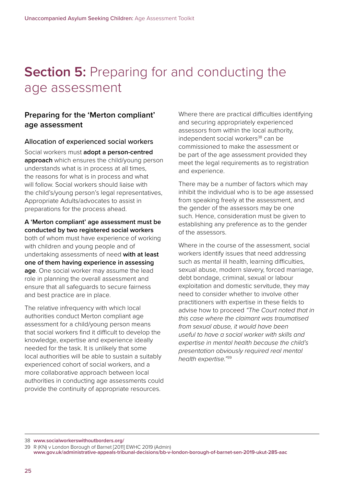## **Section 5: Preparing for and conducting the** age assessment

## **Preparing for the 'Merton compliant' age assessment**

#### Allocation of experienced social workers

Social workers must **adopt a person-centred approach** which ensures the child/young person understands what is in process at all times, the reasons for what is in process and what will follow. Social workers should liaise with the child's/young person's legal representatives, Appropriate Adults/advocates to assist in preparations for the process ahead.

#### **A 'Merton compliant' age assessment must be conducted by two registered social workers**

both of whom must have experience of working with children and young people and of undertaking assessments of need **with at least one of them having experience in assessing age**. One social worker may assume the lead role in planning the overall assessment and ensure that all safeguards to secure fairness and best practice are in place.

The relative infrequency with which local authorities conduct Merton compliant age assessment for a child/young person means that social workers find it difficult to develop the knowledge, expertise and experience ideally needed for the task. It is unlikely that some local authorities will be able to sustain a suitably experienced cohort of social workers, and a more collaborative approach between local authorities in conducting age assessments could provide the continuity of appropriate resources.

Where there are practical difficulties identifying and securing appropriately experienced assessors from within the local authority, independent social workers<sup>38</sup> can be commissioned to make the assessment or be part of the age assessment provided they meet the legal requirements as to registration and experience.

There may be a number of factors which may inhibit the individual who is to be age assessed from speaking freely at the assessment, and the gender of the assessors may be one such. Hence, consideration must be given to establishing any preference as to the gender of the assessors.

Where in the course of the assessment, social workers identify issues that need addressing such as mental ill health, learning difficulties, sexual abuse, modern slavery, forced marriage, debt bondage, criminal, sexual or labour exploitation and domestic servitude, they may need to consider whether to involve other practitioners with expertise in these fields to advise how to proceed *"The Court noted that in this case where the claimant was traumatised from sexual abuse, it would have been useful to have a social worker with skills and expertise in mental health because the child's presentation obviously required real mental health expertise."*39

<sup>38</sup> **[www.socialworkerswithoutborders.org/](https://www.socialworkerswithoutborders.org/)**

<sup>39</sup> R (KN) v London Borough of Barnet [2011] EWHC 2019 (Admin)

**[www.gov.uk/administrative-appeals-tribunal-decisions/bb-v-london-borough-of-barnet-sen-2019-ukut-285-aac](https://www.gov.uk/administrative-appeals-tribunal-decisions/bb-v-london-borough-of-barnet-sen-2019-ukut-285-aac)**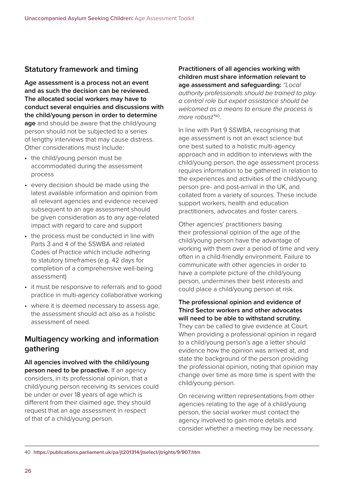## **Statutory framework and timing**

**Age assessment is a process not an event and as such the decision can be reviewed. The allocated social workers may have to conduct several enquiries and discussions with the child/young person in order to determine age** and should be aware that the child/young person should not be subjected to a series of lengthy interviews that may cause distress. Other considerations must include:

- the child/young person must be accommodated during the assessment process
- every decision should be made using the latest available information and opinion from all relevant agencies and evidence received subsequent to an age assessment should be given consideration as to any age-related impact with regard to care and support
- the process must be conducted in line with Parts 3 and 4 of the SSWBA and related Codes of Practice which include adhering to statutory timeframes (e.g. 42 days for completion of a comprehensive well-being assessment)
- it must be responsive to referrals and to good practice in multi-agency collaborative working
- where it is deemed necessary to assess age, the assessment should act also as a holistic assessment of need.

## **Multiagency working and information gathering**

**All agencies involved with the child/young person need to be proactive.** If an agency considers, in its professional opinion, that a child/young person receiving its services could be under or over 18 years of age which is different from their claimed age, they should request that an age assessment in respect of that of a child/young person.

**Practitioners of all agencies working with children must share information relevant to age assessment and safeguarding:** *"Local authority professionals should be trained to play a central role but expert assistance should be welcomed as a means to ensure the process is more robust"*40.

In line with Part 9 SSWBA, recognising that age assessment is not an exact science but one best suited to a holistic multi-agency approach and in addition to interviews with the child/young person, the age assessment process requires information to be gathered in relation to the experiences and activities of the child/young person pre- and post-arrival in the UK, and collated from a variety of sources. These include support workers, health and education practitioners, advocates and foster carers.

Other agencies' practitioners basing their professional opinion of the age of the child/young person have the advantage of working with them over a period of time and very often in a child-friendly environment. Failure to communicate with other agencies in order to have a complete picture of the child/young person, undermines their best interests and could place a child/young person at risk.

#### **The professional opinion and evidence of Third Sector workers and other advocates will need to be able to withstand scrutiny.** They can be called to give evidence at Court. When providing a professional opinion in regard to a child/young person's age a letter should evidence how the opinion was arrived at, and state the background of the person providing the professional opinion, noting that opinion may change over time as more time is spent with the child/young person.

On receiving written representations from other agencies relating to the age of a child/young person, the social worker must contact the agency involved to gain more details and consider whether a meeting may be necessary.

```
40 https://publications.parliament.uk/pa/jt201314/jtselect/jtrights/9/907.htm
```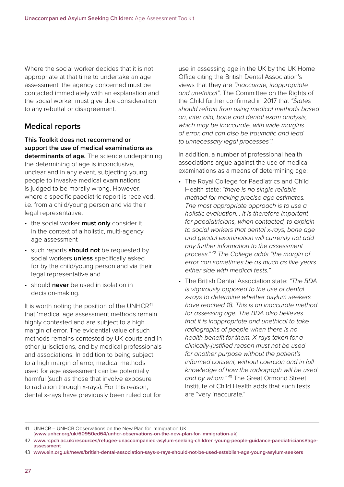Where the social worker decides that it is not appropriate at that time to undertake an age assessment, the agency concerned must be contacted immediately with an explanation and the social worker must give due consideration to any rebuttal or disagreement.

## **Medical reports**

#### **This Toolkit does not recommend or support the use of medical examinations as determinants of age.** The science underpinning the determining of age is inconclusive, unclear and in any event, subjecting young

people to invasive medical examinations is judged to be morally wrong. However, where a specific paediatric report is received, i.e. from a child/young person and via their legal representative:

- the social worker **must only** consider it in the context of a holistic, multi-agency age assessment
- such reports **should not** be requested by social workers **unless** specifically asked for by the child/young person and via their legal representative and
- should **never** be used in isolation in decision-making.

It is worth noting the position of the UNHCR<sup>41</sup> that 'medical age assessment methods remain highly contested and are subject to a high margin of error. The evidential value of such methods remains contested by UK courts and in other jurisdictions, and by medical professionals and associations. In addition to being subject to a high margin of error, medical methods used for age assessment can be potentially harmful (such as those that involve exposure to radiation through x-rays). For this reason, dental x-rays have previously been ruled out for

use in assessing age in the UK by the UK Home Office citing the British Dental Association's views that they are *"inaccurate, inappropriate and unethical"*. The Committee on the Rights of the Child further confirmed in 2017 that *"States should refrain from using medical methods based on, inter alia, bone and dental exam analysis, which may be inaccurate, with wide margins of error, and can also be traumatic and lead to unnecessary legal processes".*'

In addition, a number of professional health associations argue against the use of medical examinations as a means of determining age:

- The Royal College for Paediatrics and Child Health state: *"there is no single reliable method for making precise age estimates. The most appropriate approach is to use a holistic evaluation… It is therefore important for paediatricians, when contacted, to explain to social workers that dental x-rays, bone age and genital examination will currently not add any further information to the assessment process." 42 The College adds "the margin of error can sometimes be as much as five years either side with medical tests."*
- The British Dental Association state: *"The BDA is vigorously opposed to the use of dental x-rays to determine whether asylum seekers have reached 18. This is an inaccurate method for assessing age. The BDA also believes that it is inappropriate and unethical to take radiographs of people when there is no health benefit for them. X-rays taken for a clinically-justified reason must not be used for another purpose without the patient's informed consent, without coercion and in full knowledge of how the radiograph will be used*  and by whom."<sup>43</sup> The Great Ormond Street Institute of Child Health adds that such tests are "very inaccurate."

<sup>41</sup> UNHCR – UNHCR Observations on the New Plan for Immigration UK

<sup>(</sup>**[www.unhcr.org/uk/60950ed64/unhcr-observations-on-the-new-plan-for-immigration-uk](https://www.unhcr.org/uk/60950ed64/unhcr-observations-on-the-new-plan-for-immigration-uk)**)

<sup>42</sup> **[www.rcpch.ac.uk/resources/refugee-unaccompanied-asylum-seeking-children-young-people-guidance-paediatricians#age](https://www.rcpch.ac.uk/resources/refugee-unaccompanied-asylum-seeking-children-young-people-guidance-paediatricians#age-assessment)[assessment](https://www.rcpch.ac.uk/resources/refugee-unaccompanied-asylum-seeking-children-young-people-guidance-paediatricians#age-assessment)**

<sup>43</sup> **[www.ein.org.uk/news/british-dental-association-says-x-rays-should-not-be-used-establish-age-young-asylum-seekers](https://www.ein.org.uk/news/british-dental-association-says-x-rays-should-not-be-used-establish-age-young-asylum-seekers)**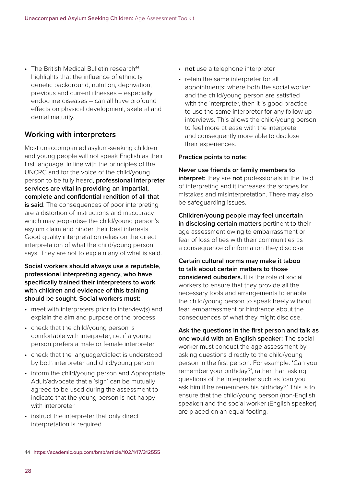$\cdot$  The British Medical Bulletin research<sup>44</sup> highlights that the influence of ethnicity, genetic background, nutrition, deprivation, previous and current illnesses – especially endocrine diseases – can all have profound effects on physical development, skeletal and dental maturity.

## **Working with interpreters**

Most unaccompanied asylum-seeking children and young people will not speak English as their first language. In line with the principles of the UNCRC and for the voice of the child/young person to be fully heard, **professional interpreter services are vital in providing an impartial, complete and confidential rendition of all that is said**. The consequences of poor interpreting are a distortion of instructions and inaccuracy which may jeopardise the child/young person's asylum claim and hinder their best interests. Good quality interpretation relies on the direct interpretation of what the child/young person says. They are not to explain any of what is said.

**Social workers should always use a reputable, professional interpreting agency, who have specifically trained their interpreters to work with children and evidence of this training should be sought. Social workers must:**

- meet with interpreters prior to interview(s) and explain the aim and purpose of the process
- check that the child/young person is comfortable with interpreter, i.e. if a young person prefers a male or female interpreter
- check that the language/dialect is understood by both interpreter and child/young person
- inform the child/young person and Appropriate Adult/advocate that a 'sign' can be mutually agreed to be used during the assessment to indicate that the young person is not happy with interpreter
- instruct the interpreter that only direct interpretation is required
- **not** use a telephone interpreter
- retain the same interpreter for all appointments: where both the social worker and the child/young person are satisfied with the interpreter, then it is good practice to use the same interpreter for any follow up interviews. This allows the child/young person to feel more at ease with the interpreter and consequently more able to disclose their experiences.

#### **Practice points to note:**

**Never use friends or family members to interpret:** they are **not** professionals in the field of interpreting and it increases the scopes for mistakes and misinterpretation. There may also be safeguarding issues.

**Children/young people may feel uncertain in disclosing certain matters** pertinent to their age assessment owing to embarrassment or fear of loss of ties with their communities as a consequence of information they disclose.

**Certain cultural norms may make it taboo to talk about certain matters to those considered outsiders.** It is the role of social workers to ensure that they provide all the necessary tools and arrangements to enable the child/young person to speak freely without fear, embarrassment or hindrance about the consequences of what they might disclose.

**Ask the questions in the first person and talk as one would with an English speaker:** The social worker must conduct the age assessment by asking questions directly to the child/young person in the first person. For example: 'Can you remember your birthday?', rather than asking questions of the interpreter such as 'can you ask him if he remembers his birthday?' This is to ensure that the child/young person (non-English speaker) and the social worker (English speaker) are placed on an equal footing.

<sup>44</sup> **<https://academic.oup.com/bmb/article/102/1/17/312555>**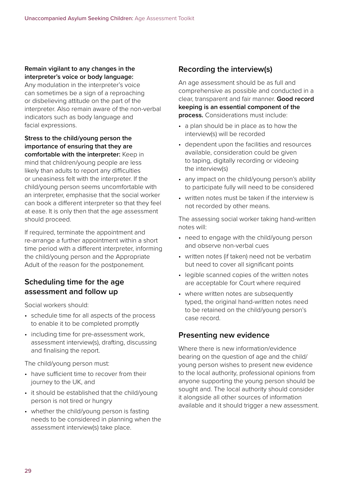#### **Remain vigilant to any changes in the interpreter's voice or body language:**

Any modulation in the interpreter's voice can sometimes be a sign of a reproaching or disbelieving attitude on the part of the interpreter. Also remain aware of the non-verbal indicators such as body language and facial expressions.

**Stress to the child/young person the importance of ensuring that they are comfortable with the interpreter:** Keep in mind that children/young people are less likely than adults to report any difficulties or uneasiness felt with the interpreter. If the child/young person seems uncomfortable with an interpreter, emphasise that the social worker can book a different interpreter so that they feel at ease. It is only then that the age assessment should proceed.

If required, terminate the appointment and re-arrange a further appointment within a short time period with a different interpreter, informing the child/young person and the Appropriate Adult of the reason for the postponement.

## **Scheduling time for the age assessment and follow up**

Social workers should:

- schedule time for all aspects of the process to enable it to be completed promptly
- including time for pre-assessment work, assessment interview(s), drafting, discussing and finalising the report.

The child/young person must:

- have sufficient time to recover from their journey to the UK, and
- it should be established that the child/young person is not tired or hungry
- whether the child/young person is fasting needs to be considered in planning when the assessment interview(s) take place.

## **Recording the interview(s)**

An age assessment should be as full and comprehensive as possible and conducted in a clear, transparent and fair manner. **Good record keeping is an essential component of the process.** Considerations must include:

- a plan should be in place as to how the interview(s) will be recorded
- dependent upon the facilities and resources available, consideration could be given to taping, digitally recording or videoing the interview(s)
- any impact on the child/young person's ability to participate fully will need to be considered
- written notes must be taken if the interview is not recorded by other means.

The assessing social worker taking hand-written notes will:

- need to engage with the child/young person and observe non-verbal cues
- written notes (if taken) need not be verbatim but need to cover all significant points
- legible scanned copies of the written notes are acceptable for Court where required
- where written notes are subsequently typed, the original hand-written notes need to be retained on the child/young person's case record.

#### **Presenting new evidence**

Where there is new information/evidence bearing on the question of age and the child/ young person wishes to present new evidence to the local authority, professional opinions from anyone supporting the young person should be sought and. The local authority should consider it alongside all other sources of information available and it should trigger a new assessment.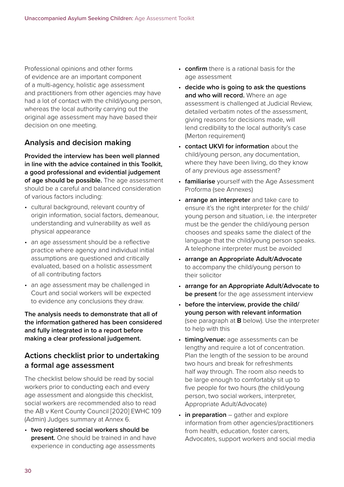Professional opinions and other forms of evidence are an important component of a multi-agency, holistic age assessment and practitioners from other agencies may have had a lot of contact with the child/young person, whereas the local authority carrying out the original age assessment may have based their decision on one meeting.

## **Analysis and decision making**

**Provided the interview has been well planned in line with the advice contained in this Toolkit, a good professional and evidential judgement of age should be possible.** The age assessment should be a careful and balanced consideration of various factors including:

- cultural background, relevant country of origin information, social factors, demeanour, understanding and vulnerability as well as physical appearance
- an age assessment should be a reflective practice where agency and individual initial assumptions are questioned and critically evaluated, based on a holistic assessment of all contributing factors
- an age assessment may be challenged in Court and social workers will be expected to evidence any conclusions they draw.

**The analysis needs to demonstrate that all of the information gathered has been considered and fully integrated in to a report before making a clear professional judgement.** 

## **Actions checklist prior to undertaking a formal age assessment**

The checklist below should be read by social workers prior to conducting each and every age assessment and alongside this checklist, social workers are recommended also to read the AB v Kent County Council [2020] EWHC 109 (Admin) Judges summary at Annex 6.

• **two registered social workers should be present.** One should be trained in and have experience in conducting age assessments

- **confirm** there is a rational basis for the age assessment
- **decide who is going to ask the questions and who will record.** Where an age assessment is challenged at Judicial Review, detailed verbatim notes of the assessment, giving reasons for decisions made, will lend credibility to the local authority's case (Merton requirement)
- **contact UKVI for information** about the child/young person, any documentation, where they have been living, do they know of any previous age assessment?
- **familiarise** yourself with the Age Assessment Proforma (see Annexes)
- **arrange an interpreter** and take care to ensure it's the right interpreter for the child/ young person and situation, i.e. the interpreter must be the gender the child/young person chooses and speaks same the dialect of the language that the child/young person speaks. A telephone interpreter must be avoided
- **arrange an Appropriate Adult/Advocate** to accompany the child/young person to their solicitor
- **arrange for an Appropriate Adult/Advocate to be present** for the age assessment interview
- **before the interview, provide the child/ young person with relevant information**  (see paragraph at **B** below). Use the interpreter to help with this
- **timing/venue:** age assessments can be lengthy and require a lot of concentration. Plan the length of the session to be around two hours and break for refreshments half way through. The room also needs to be large enough to comfortably sit up to five people for two hours (the child/young person, two social workers, interpreter, Appropriate Adult/Advocate)
- **in preparation** gather and explore information from other agencies/practitioners from health, education, foster carers, Advocates, support workers and social media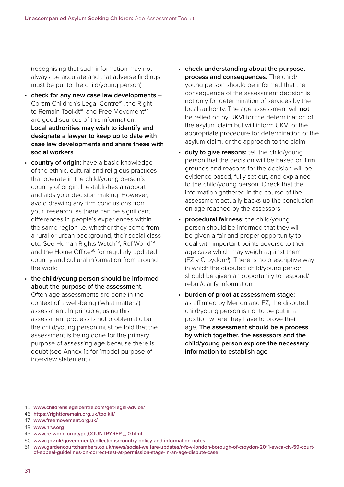(recognising that such information may not always be accurate and that adverse findings must be put to the child/young person)

- **check for any new case law developments** Coram Children's Legal Centre45, the Right to Remain Toolkit<sup>46</sup> and Free Movement<sup>47</sup> are good sources of this information. **Local authorities may wish to identify and designate a lawyer to keep up to date with case law developments and share these with social workers**
- **country of origin:** have a basic knowledge of the ethnic, cultural and religious practices that operate in the child/young person's country of origin. It establishes a rapport and aids your decision making. However, avoid drawing any firm conclusions from your 'research' as there can be significant differences in people's experiences within the same region i.e. whether they come from a rural or urban background, their social class etc. See Human Rights Watch<sup>48</sup>, Ref World<sup>49</sup> and the Home Office<sup>50</sup> for regularly updated country and cultural information from around the world
- **the child/young person should be informed about the purpose of the assessment.** Often age assessments are done in the context of a well-being ('what matters') assessment. In principle, using this assessment process is not problematic but the child/young person must be told that the assessment is being done for the primary purpose of assessing age because there is doubt (see Annex 1c for 'model purpose of interview statement')
- **check understanding about the purpose, process and consequences.** The child/ young person should be informed that the consequence of the assessment decision is not only for determination of services by the local authority. The age assessment will **not** be relied on by UKVI for the determination of the asylum claim but will inform UKVI of the appropriate procedure for determination of the asylum claim, or the approach to the claim
- **duty to give reasons:** tell the child/young person that the decision will be based on firm grounds and reasons for the decision will be evidence based, fully set out, and explained to the child/young person. Check that the information gathered in the course of the assessment actually backs up the conclusion on age reached by the assessors
- **procedural fairness:** the child/young person should be informed that they will be given a fair and proper opportunity to deal with important points adverse to their age case which may weigh against them  $(FZ \vee Croydon<sup>51</sup>)$ . There is no prescriptive way in which the disputed child/young person should be given an opportunity to respond/ rebut/clarify information
- **burden of proof at assessment stage:**  as affirmed by Merton and FZ, the disputed child/young person is not to be put in a position where they have to prove their age. **The assessment should be a process by which together, the assessors and the child/young person explore the necessary information to establish age**

- 49 **[www.refworld.org/type,COUNTRYREP,,,,,0.html](https://www.refworld.org/type,COUNTRYREP,,,,,0.html)**
- 50 **[www.gov.uk/government/collections/country-policy-and-information-notes](https://www.gov.uk/government/collections/country-policy-and-information-notes)**
- 51 **[www.gardencourtchambers.co.uk/news/social-welfare-updates/r-fz-v-london-borough-of-croydon-2011-ewca-civ-59-court](https://www.gardencourtchambers.co.uk/news/social-welfare-updates/r-fz-v-london-borough-of-croydon-2011-ewca-civ-59-court-of-appeal-guidelines-on-correct-test-at-permission-stage-in-an-age-dispute-case)[of-appeal-guidelines-on-correct-test-at-permission-stage-in-an-age-dispute-case](https://www.gardencourtchambers.co.uk/news/social-welfare-updates/r-fz-v-london-borough-of-croydon-2011-ewca-civ-59-court-of-appeal-guidelines-on-correct-test-at-permission-stage-in-an-age-dispute-case)**

<sup>45</sup> **[www.childrenslegalcentre.com/get-legal-advice/](https://www.childrenslegalcentre.com/get-legal-advice/)**

<sup>46</sup> **<https://righttoremain.org.uk/toolkit/>**

<sup>47</sup> **[www.freemovement.org.uk/](https://www.freemovement.org.uk/)**

<sup>48</sup> **[www.hrw.org](http://www.hrw.org)**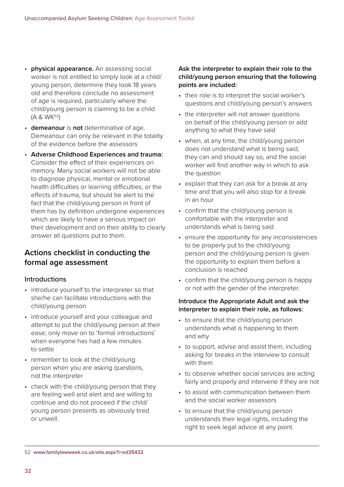- **physical appearance.** An assessing social worker is not entitled to simply look at a child/ young person, determine they look 18 years old and therefore conclude no assessment of age is required, particularly where the child/young person is claiming to be a child (A & WK52)
- **demeanour** is **not** determinative of age. Demeanour can only be relevant in the totality of the evidence before the assessors
- **Adverse Childhood Experiences and trauma:** Consider the effect of their experiences on memory. Many social workers will not be able to diagnose physical, mental or emotional health difficulties or learning difficulties, or the effects of trauma, but should be alert to the fact that the child/young person in front of them has by definition undergone experiences which are likely to have a serious impact on their development and on their ability to clearly answer all questions put to them.

## **Actions checklist in conducting the formal age assessment**

## Introductions

- introduce yourself to the interpreter so that she/he can facilitate introductions with the child/young person
- introduce yourself and your colleague and attempt to put the child/young person at their ease; only move on to 'formal introductions' when everyone has had a few minutes to settle
- remember to look at the child/young person when you are asking questions, not the interpreter
- check with the child/young person that they are feeling well and alert and are willing to continue and do not proceed if the child/ young person presents as obviously tired or unwell.

#### **Ask the interpreter to explain their role to the child/young person ensuring that the following points are included:**

- their role is to interpret the social worker's questions and child/young person's answers
- the interpreter will not answer questions on behalf of the child/young person or add anything to what they have said
- when, at any time, the child/young person does not understand what is being said, they can and should say so, and the social worker will find another way in which to ask the question
- explain that they can ask for a break at any time and that you will also stop for a break in an hour
- confirm that the child/young person is comfortable with the interpreter and understands what is being said
- ensure the opportunity for any inconsistencies to be properly put to the child/young person and the child/young person is given the opportunity to explain them before a conclusion is reached
- confirm that the child/young person is happy or not with the gender of the interpreter.

#### **Introduce the Appropriate Adult and ask the interpreter to explain their role, as follows:**

- to ensure that the child/young person understands what is happening to them and why
- to support, advise and assist them, including asking for breaks in the interview to consult with them
- to observe whether social services are acting fairly and properly and intervene if they are not
- to assist with communication between them and the social worker assessors
- to ensure that the child/young person understands their legal rights, including the right to seek legal advice at any point.

<sup>52</sup> **[www.familylawweek.co.uk/site.aspx?i=ed35432](https://www.familylawweek.co.uk/site.aspx?i=ed35432)**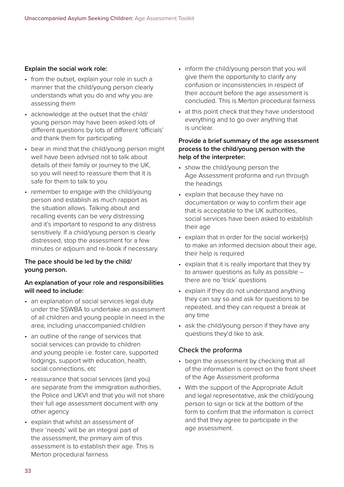#### **Explain the social work role:**

- from the outset, explain your role in such a manner that the child/young person clearly understands what you do and why you are assessing them
- acknowledge at the outset that the child/ young person may have been asked lots of different questions by lots of different 'officials' and thank them for participating
- bear in mind that the child/young person might well have been advised not to talk about details of their family or journey to the UK, so you will need to reassure them that it is safe for them to talk to you
- remember to engage with the child/young person and establish as much rapport as the situation allows. Talking about and recalling events can be very distressing and it's important to respond to any distress sensitively. If a child/young person is clearly distressed, stop the assessment for a few minutes or adjourn and re-book if necessary.

#### **The pace should be led by the child/ young person.**

#### **An explanation of your role and responsibilities will need to include:**

- an explanation of social services legal duty under the SSWBA to undertake an assessment of all children and young people in need in the area, including unaccompanied children
- an outline of the range of services that social services can provide to children and young people i.e. foster care, supported lodgings, support with education, health, social connections, etc
- reassurance that social services (and you) are separate from the immigration authorities, the Police and UKVI and that you will not share their full age assessment document with any other agency
- explain that whilst an assessment of their 'needs' will be an integral part of the assessment, the primary aim of this assessment is to establish their age. This is Merton procedural fairness
- inform the child/young person that you will give them the opportunity to clarify any confusion or inconsistencies in respect of their account before the age assessment is concluded. This is Merton procedural fairness
- at this point check that they have understood everything and to go over anything that is unclear.

#### **Provide a brief summary of the age assessment process to the child/young person with the help of the interpreter:**

- show the child/young person the Age Assessment proforma and run through the headings
- explain that because they have no documentation or way to confirm their age that is acceptable to the UK authorities, social services have been asked to establish their age
- explain that in order for the social worker(s) to make an informed decision about their age, their help is required
- explain that it is really important that they try to answer questions as fully as possible – there are no 'trick' questions
- explain if they do not understand anything they can say so and ask for questions to be repeated, and they can request a break at any time
- ask the child/young person if they have any questions they'd like to ask.

#### Check the proforma

- begin the assessment by checking that all of the information is correct on the front sheet of the Age Assessment proforma
- With the support of the Appropriate Adult and legal representative, ask the child/young person to sign or tick at the bottom of the form to confirm that the information is correct and that they agree to participate in the age assessment.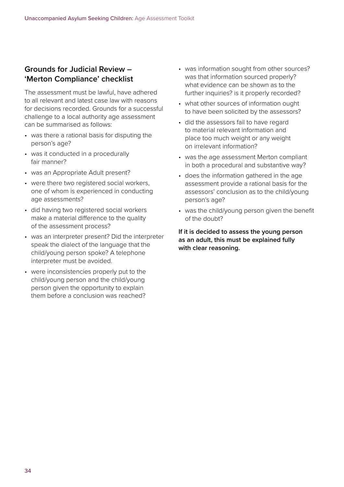## **Grounds for Judicial Review – 'Merton Compliance' checklist**

The assessment must be lawful, have adhered to all relevant and latest case law with reasons for decisions recorded. Grounds for a successful challenge to a local authority age assessment can be summarised as follows:

- was there a rational basis for disputing the person's age?
- was it conducted in a procedurally fair manner?
- was an Appropriate Adult present?
- were there two registered social workers. one of whom is experienced in conducting age assessments?
- did having two registered social workers make a material difference to the quality of the assessment process?
- was an interpreter present? Did the interpreter speak the dialect of the language that the child/young person spoke? A telephone interpreter must be avoided.
- were inconsistencies properly put to the child/young person and the child/young person given the opportunity to explain them before a conclusion was reached?
- was information sought from other sources? was that information sourced properly? what evidence can be shown as to the further inquiries? is it properly recorded?
- what other sources of information ought to have been solicited by the assessors?
- did the assessors fail to have regard to material relevant information and place too much weight or any weight on irrelevant information?
- was the age assessment Merton compliant in both a procedural and substantive way?
- does the information gathered in the age assessment provide a rational basis for the assessors' conclusion as to the child/young person's age?
- was the child/young person given the benefit of the doubt?

**If it is decided to assess the young person as an adult, this must be explained fully with clear reasoning.**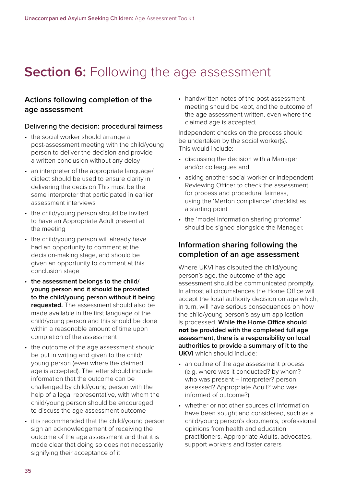## **Section 6: Following the age assessment**

## **Actions following completion of the age assessment**

#### Delivering the decision: procedural fairness

- the social worker should arrange a post-assessment meeting with the child/young person to deliver the decision and provide a written conclusion without any delay
- an interpreter of the appropriate language/ dialect should be used to ensure clarity in delivering the decision This must be the same interpreter that participated in earlier assessment interviews
- the child/young person should be invited to have an Appropriate Adult present at the meeting
- the child/young person will already have had an opportunity to comment at the decision-making stage, and should be given an opportunity to comment at this conclusion stage
- **the assessment belongs to the child/ young person and it should be provided to the child/young person without it being requested.** The assessment should also be made available in the first language of the child/young person and this should be done within a reasonable amount of time upon completion of the assessment
- the outcome of the age assessment should be put in writing and given to the child/ young person (even where the claimed age is accepted). The letter should include information that the outcome can be challenged by child/young person with the help of a legal representative, with whom the child/young person should be encouraged to discuss the age assessment outcome
- it is recommended that the child/young person sign an acknowledgement of receiving the outcome of the age assessment and that it is made clear that doing so does not necessarily signifying their acceptance of it

• handwritten notes of the post-assessment meeting should be kept, and the outcome of the age assessment written, even where the claimed age is accepted.

Independent checks on the process should be undertaken by the social worker(s). This would include:

- discussing the decision with a Manager and/or colleagues and
- asking another social worker or Independent Reviewing Officer to check the assessment for process and procedural fairness, using the 'Merton compliance' checklist as a starting point
- the 'model information sharing proforma' should be signed alongside the Manager.

#### **Information sharing following the completion of an age assessment**

Where UKVI has disputed the child/young person's age, the outcome of the age assessment should be communicated promptly. In almost all circumstances the Home Office will accept the local authority decision on age which, in turn, will have serious consequences on how the child/young person's asylum application is processed. **While the Home Office should**  not **be provided with the completed full age assessment, there is a responsibility on local authorities to provide a summary of it to the UKVI** which should include:

- an outline of the age assessment process (e.g. where was it conducted? by whom? who was present – interpreter? person assessed? Appropriate Adult? who was informed of outcome?)
- whether or not other sources of information have been sought and considered, such as a child/young person's documents, professional opinions from health and education practitioners, Appropriate Adults, advocates, support workers and foster carers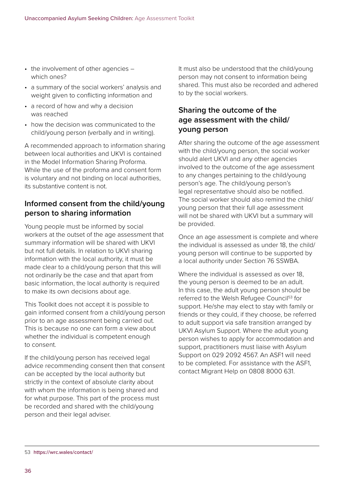- the involvement of other agencies which ones?
- a summary of the social workers' analysis and weight given to conflicting information and
- a record of how and why a decision was reached
- how the decision was communicated to the child/young person (verbally and in writing).

A recommended approach to information sharing between local authorities and UKVI is contained in the Model Information Sharing Proforma. While the use of the proforma and consent form is voluntary and not binding on local authorities, its substantive content is not.

## **Informed consent from the child/young person to sharing information**

Young people must be informed by social workers at the outset of the age assessment that summary information will be shared with UKVI but not full details. In relation to UKVI sharing information with the local authority, it must be made clear to a child/young person that this will not ordinarily be the case and that apart from basic information, the local authority is required to make its own decisions about age.

This Toolkit does not accept it is possible to gain informed consent from a child/young person prior to an age assessment being carried out. This is because no one can form a view about whether the individual is competent enough to consent.

If the child/young person has received legal advice recommending consent then that consent can be accepted by the local authority but strictly in the context of absolute clarity about with whom the information is being shared and for what purpose. This part of the process must be recorded and shared with the child/young person and their legal adviser.

It must also be understood that the child/young person may not consent to information being shared. This must also be recorded and adhered to by the social workers.

## **Sharing the outcome of the age assessment with the child/ young person**

After sharing the outcome of the age assessment with the child/young person, the social worker should alert UKVI and any other agencies involved to the outcome of the age assessment to any changes pertaining to the child/young person's age. The child/young person's legal representative should also be notified. The social worker should also remind the child/ young person that their full age assessment will not be shared with UKVI but a summary will be provided.

Once an age assessment is complete and where the individual is assessed as under 18, the child/ young person will continue to be supported by a local authority under Section 76 SSWBA.

Where the individual is assessed as over 18, the young person is deemed to be an adult. In this case, the adult young person should be referred to the Welsh Refugee Council<sup>53</sup> for support. He/she may elect to stay with family or friends or they could, if they choose, be referred to adult support via safe transition arranged by UKVI Asylum Support. Where the adult young person wishes to apply for accommodation and support, practitioners must liaise with Asylum Support on 029 2092 4567. An ASF1 will need to be completed. For assistance with the ASF1, contact Migrant Help on 0808 8000 631.

<sup>53</sup> **<https://wrc.wales/contact/>**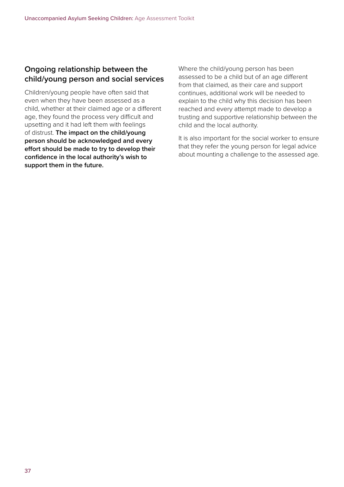## **Ongoing relationship between the child/young person and social services**

Children/young people have often said that even when they have been assessed as a child, whether at their claimed age or a different age, they found the process very difficult and upsetting and it had left them with feelings of distrust. **The impact on the child/young person should be acknowledged and every effort should be made to try to develop their confidence in the local authority's wish to support them in the future.** 

Where the child/young person has been assessed to be a child but of an age different from that claimed, as their care and support continues, additional work will be needed to explain to the child why this decision has been reached and every attempt made to develop a trusting and supportive relationship between the child and the local authority.

It is also important for the social worker to ensure that they refer the young person for legal advice about mounting a challenge to the assessed age.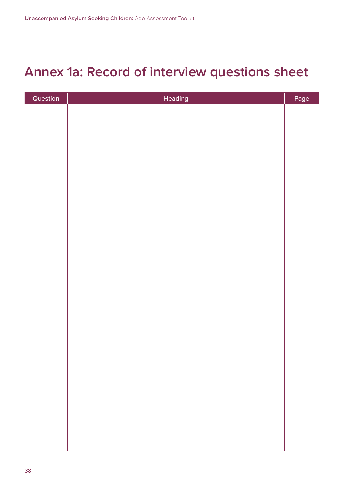## **Annex 1a: Record of interview questions sheet**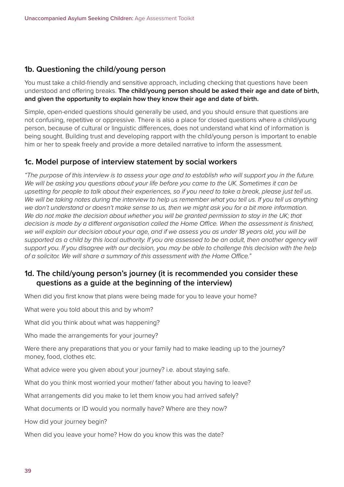## **1b. Questioning the child/young person**

You must take a child-friendly and sensitive approach, including checking that questions have been understood and offering breaks. **The child/young person should be asked their age and date of birth, and given the opportunity to explain how they know their age and date of birth.**

Simple, open-ended questions should generally be used, and you should ensure that questions are not confusing, repetitive or oppressive. There is also a place for closed questions where a child/young person, because of cultural or linguistic differences, does not understand what kind of information is being sought. Building trust and developing rapport with the child/young person is important to enable him or her to speak freely and provide a more detailed narrative to inform the assessment.

#### **1c. Model purpose of interview statement by social workers**

*"The purpose of this interview is to assess your age and to establish who will support you in the future. We will be asking you questions about your life before you came to the UK. Sometimes it can be upsetting for people to talk about their experiences, so if you need to take a break, please just tell us. We will be taking notes during the interview to help us remember what you tell us. If you tell us anything we don't understand or doesn't make sense to us, then we might ask you for a bit more information.*  We do not make the decision about whether you will be granted permission to stay in the UK; that *decision is made by a different organisation called the Home Office. When the assessment is finished, we will explain our decision about your age, and if we assess you as under 18 years old, you will be supported as a child by this local authority. If you are assessed to be an adult, then another agency will support you. If you disagree with our decision, you may be able to challenge this decision with the help of a solicitor. We will share a summary of this assessment with the Home Office."*

## **1d. The child/young person's journey (it is recommended you consider these questions as a guide at the beginning of the interview)**

When did you first know that plans were being made for you to leave your home?

What were you told about this and by whom?

What did you think about what was happening?

Who made the arrangements for your journey?

Were there any preparations that you or your family had to make leading up to the journey? money, food, clothes etc.

What advice were you given about your journey? i.e. about staying safe.

What do you think most worried your mother/ father about you having to leave?

What arrangements did you make to let them know you had arrived safely?

What documents or ID would you normally have? Where are they now?

How did your journey begin?

When did you leave your home? How do you know this was the date?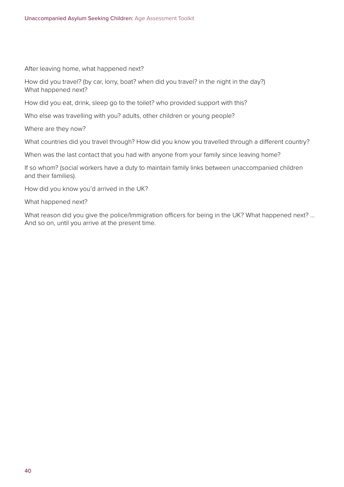After leaving home, what happened next?

How did you travel? (by car, lorry, boat? when did you travel? in the night in the day?) What happened next?

How did you eat, drink, sleep go to the toilet? who provided support with this?

Who else was travelling with you? adults, other children or young people?

Where are they now?

What countries did you travel through? How did you know you travelled through a different country?

When was the last contact that you had with anyone from your family since leaving home?

If so whom? (social workers have a duty to maintain family links between unaccompanied children and their families).

How did you know you'd arrived in the UK?

What happened next?

What reason did you give the police/Immigration officers for being in the UK? What happened next? ... And so on, until you arrive at the present time.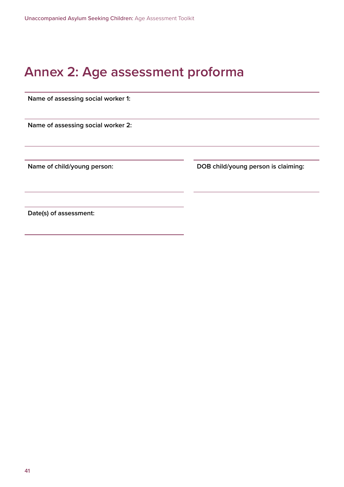## **Annex 2: Age assessment proforma**

**Name of assessing social worker 1:** 

**Name of assessing social worker 2:**

**Name of child/young person: DOB child/young person is claiming:**

**Date(s) of assessment:**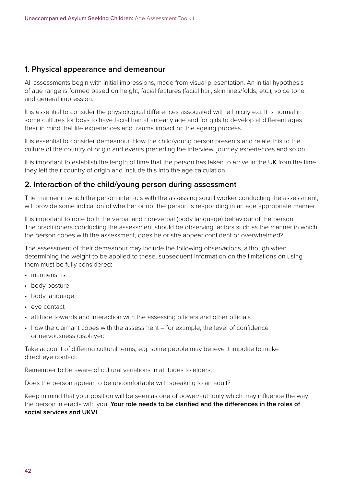#### **1. Physical appearance and demeanour**

All assessments begin with initial impressions, made from visual presentation. An initial hypothesis of age range is formed based on height, facial features (facial hair, skin lines/folds, etc.), voice tone, and general impression.

It is essential to consider the physiological differences associated with ethnicity e.g. It is normal in some cultures for boys to have facial hair at an early age and for girls to develop at different ages. Bear in mind that life experiences and trauma impact on the ageing process.

It is essential to consider demeanour. How the child/young person presents and relate this to the culture of the country of origin and events preceding the interview, journey experiences and so on.

It is important to establish the length of time that the person has taken to arrive in the UK from the time they left their country of origin and include this into the age calculation.

#### **2. Interaction of the child/young person during assessment**

The manner in which the person interacts with the assessing social worker conducting the assessment, will provide some indication of whether or not the person is responding in an age appropriate manner.

It is important to note both the verbal and non-verbal (body language) behaviour of the person. The practitioners conducting the assessment should be observing factors such as the manner in which the person copes with the assessment, does he or she appear confident or overwhelmed?

The assessment of their demeanour may include the following observations, although when determining the weight to be applied to these, subsequent information on the limitations on using them must be fully considered:

- mannerisms
- body posture
- body language
- eye contact
- attitude towards and interaction with the assessing officers and other officials
- how the claimant copes with the assessment for example, the level of confidence or nervousness displayed

Take account of differing cultural terms, e.g. some people may believe it impolite to make direct eye contact.

Remember to be aware of cultural variations in attitudes to elders.

Does the person appear to be uncomfortable with speaking to an adult?

Keep in mind that your position will be seen as one of power/authority which may influence the way the person interacts with you. **Your role needs to be clarified and the differences in the roles of social services and UKVI.**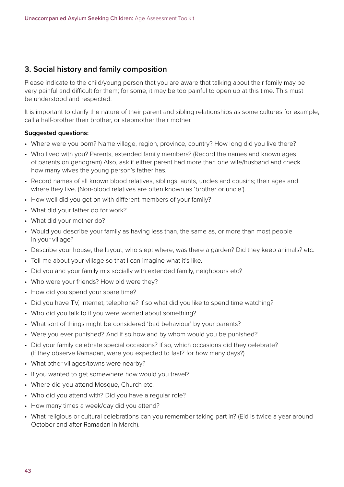#### **3. Social history and family composition**

Please indicate to the child/young person that you are aware that talking about their family may be very painful and difficult for them; for some, it may be too painful to open up at this time. This must be understood and respected.

It is important to clarify the nature of their parent and sibling relationships as some cultures for example, call a half-brother their brother, or stepmother their mother.

#### **Suggested questions:**

- Where were you born? Name village, region, province, country? How long did you live there?
- Who lived with you? Parents, extended family members? (Record the names and known ages of parents on genogram) Also, ask if either parent had more than one wife/husband and check how many wives the young person's father has.
- Record names of all known blood relatives, siblings, aunts, uncles and cousins; their ages and where they live. (Non-blood relatives are often known as 'brother or uncle').
- How well did you get on with different members of your family?
- What did your father do for work?
- What did your mother do?
- Would you describe your family as having less than, the same as, or more than most people in your village?
- Describe your house; the layout, who slept where, was there a garden? Did they keep animals? etc.
- Tell me about your village so that I can imagine what it's like.
- Did you and your family mix socially with extended family, neighbours etc?
- Who were your friends? How old were they?
- How did you spend your spare time?
- Did you have TV, Internet, telephone? If so what did you like to spend time watching?
- Who did you talk to if you were worried about something?
- What sort of things might be considered 'bad behaviour' by your parents?
- Were you ever punished? And if so how and by whom would you be punished?
- Did your family celebrate special occasions? If so, which occasions did they celebrate? (If they observe Ramadan, were you expected to fast? for how many days?)
- What other villages/towns were nearby?
- If you wanted to get somewhere how would you travel?
- Where did you attend Mosque, Church etc.
- Who did you attend with? Did you have a regular role?
- How many times a week/day did you attend?
- What religious or cultural celebrations can you remember taking part in? (Eid is twice a year around October and after Ramadan in March).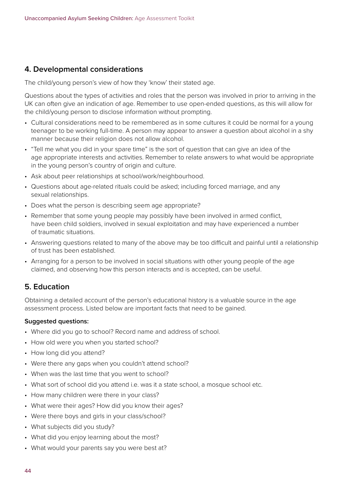## **4. Developmental considerations**

The child/young person's view of how they 'know' their stated age.

Questions about the types of activities and roles that the person was involved in prior to arriving in the UK can often give an indication of age. Remember to use open-ended questions, as this will allow for the child/young person to disclose information without prompting.

- Cultural considerations need to be remembered as in some cultures it could be normal for a young teenager to be working full-time. A person may appear to answer a question about alcohol in a shy manner because their religion does not allow alcohol.
- "Tell me what you did in your spare time" is the sort of question that can give an idea of the age appropriate interests and activities. Remember to relate answers to what would be appropriate in the young person's country of origin and culture.
- Ask about peer relationships at school/work/neighbourhood.
- Questions about age-related rituals could be asked; including forced marriage, and any sexual relationships.
- Does what the person is describing seem age appropriate?
- Remember that some young people may possibly have been involved in armed conflict, have been child soldiers, involved in sexual exploitation and may have experienced a number of traumatic situations.
- Answering questions related to many of the above may be too difficult and painful until a relationship of trust has been established.
- Arranging for a person to be involved in social situations with other young people of the age claimed, and observing how this person interacts and is accepted, can be useful.

#### **5. Education**

Obtaining a detailed account of the person's educational history is a valuable source in the age assessment process. Listed below are important facts that need to be gained.

#### **Suggested questions:**

- Where did you go to school? Record name and address of school.
- How old were you when you started school?
- How long did you attend?
- Were there any gaps when you couldn't attend school?
- When was the last time that you went to school?
- What sort of school did you attend i.e. was it a state school, a mosque school etc.
- How many children were there in your class?
- What were their ages? How did you know their ages?
- Were there boys and girls in your class/school?
- What subjects did you study?
- What did you enjoy learning about the most?
- What would your parents say you were best at?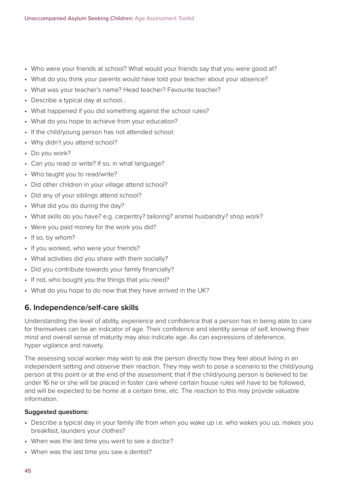- Who were your friends at school? What would your friends say that you were good at?
- What do you think your parents would have told your teacher about your absence?
- What was your teacher's name? Head teacher? Favourite teacher?
- Describe a typical day at school…
- What happened if you did something against the school rules?
- What do you hope to achieve from your education?
- If the child/young person has not attended school:
- Why didn't you attend school?
- Do you work?
- Can you read or write? If so, in what language?
- Who taught you to read/write?
- Did other children in your village attend school?
- Did any of your siblings attend school?
- What did you do during the day?
- What skills do you have? e.g. carpentry? tailoring? animal husbandry? shop work?
- Were you paid money for the work you did?
- If so, by whom?
- If you worked, who were your friends?
- What activities did you share with them socially?
- Did you contribute towards your family financially?
- If not, who bought you the things that you need?
- What do you hope to do now that they have arrived in the UK?

#### **6. Independence/self-care skills**

Understanding the level of ability, experience and confidence that a person has in being able to care for themselves can be an indicator of age. Their confidence and identity sense of self, knowing their mind and overall sense of maturity may also indicate age. As can expressions of deference, hyper vigilance and naivety.

The assessing social worker may wish to ask the person directly how they feel about living in an independent setting and observe their reaction. They may wish to pose a scenario to the child/young person at this point or at the end of the assessment; that if the child/young person is believed to be under 16 he or she will be placed in foster care where certain house rules will have to be followed, and will be expected to be home at a certain time, etc. The reaction to this may provide valuable information.

#### **Suggested questions:**

- Describe a typical day in your family life from when you wake up i.e. who wakes you up, makes you breakfast, launders your clothes?
- When was the last time you went to see a doctor?
- When was the last time you saw a dentist?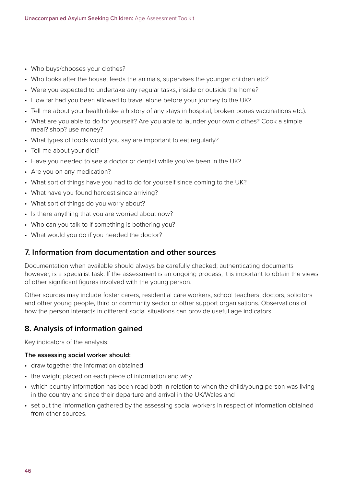- Who buys/chooses your clothes?
- Who looks after the house, feeds the animals, supervises the younger children etc?
- Were you expected to undertake any regular tasks, inside or outside the home?
- How far had you been allowed to travel alone before your journey to the UK?
- Tell me about your health (take a history of any stays in hospital, broken bones vaccinations etc.).
- What are you able to do for yourself? Are you able to launder your own clothes? Cook a simple meal? shop? use money?
- What types of foods would you say are important to eat regularly?
- Tell me about your diet?
- Have you needed to see a doctor or dentist while you've been in the UK?
- Are you on any medication?
- What sort of things have you had to do for yourself since coming to the UK?
- What have you found hardest since arriving?
- What sort of things do you worry about?
- Is there anything that you are worried about now?
- Who can you talk to if something is bothering you?
- What would you do if you needed the doctor?

#### **7. Information from documentation and other sources**

Documentation when available should always be carefully checked; authenticating documents however, is a specialist task. If the assessment is an ongoing process, it is important to obtain the views of other significant figures involved with the young person.

Other sources may include foster carers, residential care workers, school teachers, doctors, solicitors and other young people, third or community sector or other support organisations. Observations of how the person interacts in different social situations can provide useful age indicators.

## **8. Analysis of information gained**

Key indicators of the analysis:

#### **The assessing social worker should:**

- draw together the information obtained
- the weight placed on each piece of information and why
- which country information has been read both in relation to when the child/young person was living in the country and since their departure and arrival in the UK/Wales and
- set out the information gathered by the assessing social workers in respect of information obtained from other sources.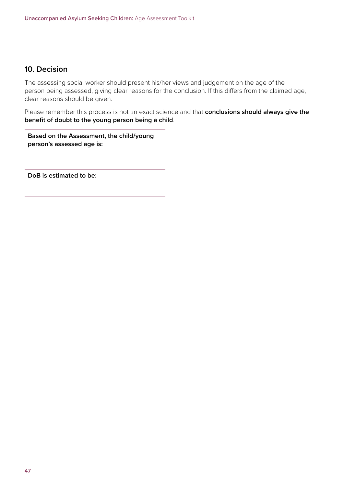## **10. Decision**

The assessing social worker should present his/her views and judgement on the age of the person being assessed, giving clear reasons for the conclusion. If this differs from the claimed age, clear reasons should be given.

Please remember this process is not an exact science and that **conclusions should always give the benefit of doubt to the young person being a child**.

**Based on the Assessment, the child/young person's assessed age is:**

**DoB is estimated to be:**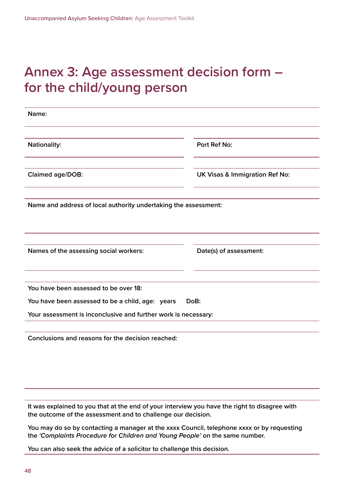## **Annex 3: Age assessment decision form – for the child/young person**

| Name:                                                           |                                           |
|-----------------------------------------------------------------|-------------------------------------------|
| <b>Nationality:</b>                                             | <b>Port Ref No:</b>                       |
| Claimed age/DOB:                                                | <b>UK Visas &amp; Immigration Ref No:</b> |
| Name and address of local authority undertaking the assessment: |                                           |
| Names of the assessing social workers:                          | Date(s) of assessment:                    |
| You have been assessed to be over 18:                           |                                           |
| You have been assessed to be a child, age: years                | DoB:                                      |
| Your assessment is inconclusive and further work is necessary:  |                                           |
| Conclusions and reasons for the decision reached:               |                                           |

**It was explained to you that at the end of your interview you have the right to disagree with the outcome of the assessment and to challenge our decision.** 

**You may do so by contacting a manager at the xxxx Council, telephone xxxx or by requesting the** *'Complaints Procedure for Children and Young People'* **on the same number.**

**You can also seek the advice of a solicitor to challenge this decision.**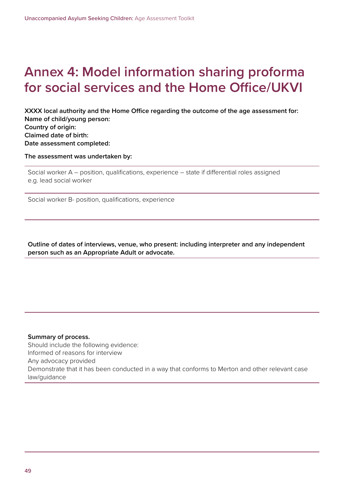## **Annex 4: Model information sharing proforma for social services and the Home Office/UKVI**

**XXXX local authority and the Home Office regarding the outcome of the age assessment for: Name of child/young person: Country of origin: Claimed date of birth: Date assessment completed:**

**The assessment was undertaken by:**

Social worker A – position, qualifications, experience – state if differential roles assigned e.g. lead social worker

Social worker B- position, qualifications, experience

**Outline of dates of interviews, venue, who present: including interpreter and any independent person such as an Appropriate Adult or advocate.**

#### **Summary of process.** Should include the following evidence: Informed of reasons for interview Any advocacy provided Demonstrate that it has been conducted in a way that conforms to Merton and other relevant case law/guidance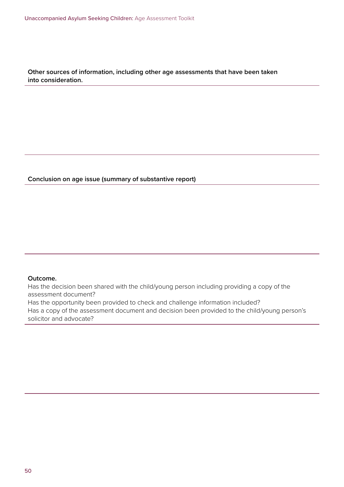**Other sources of information, including other age assessments that have been taken into consideration.**

#### **Conclusion on age issue (summary of substantive report)**

#### **Outcome.**

Has the decision been shared with the child/young person including providing a copy of the assessment document?

Has the opportunity been provided to check and challenge information included?

Has a copy of the assessment document and decision been provided to the child/young person's solicitor and advocate?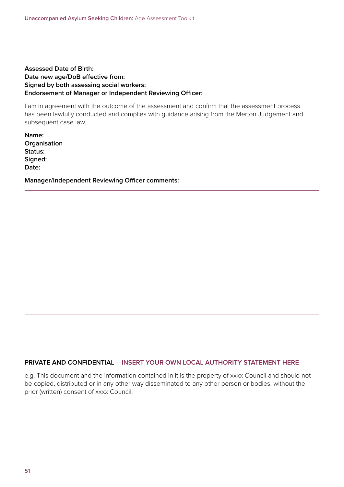#### **Assessed Date of Birth: Date new age/DoB effective from: Signed by both assessing social workers: Endorsement of Manager or Independent Reviewing Officer:**

I am in agreement with the outcome of the assessment and confirm that the assessment process has been lawfully conducted and complies with guidance arising from the Merton Judgement and subsequent case law.

**Name: Organisation Status: Signed: Date:**

**Manager/Independent Reviewing Officer comments:**

#### **PRIVATE AND CONFIDENTIAL – INSERT YOUR OWN LOCAL AUTHORITY STATEMENT HERE**

e.g. This document and the information contained in it is the property of xxxx Council and should not be copied, distributed or in any other way disseminated to any other person or bodies, without the prior (written) consent of xxxx Council.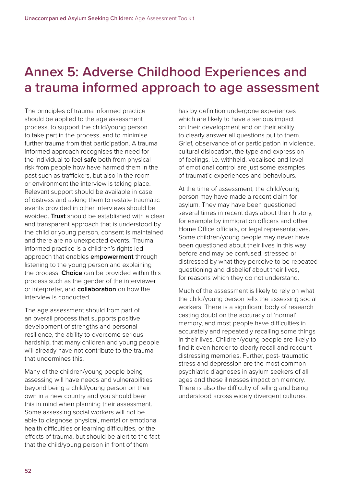## **Annex 5: Adverse Childhood Experiences and a trauma informed approach to age assessment**

The principles of trauma informed practice should be applied to the age assessment process, to support the child/young person to take part in the process, and to minimise further trauma from that participation. A trauma informed approach recognises the need for the individual to feel **safe** both from physical risk from people how have harmed them in the past such as traffickers, but also in the room or environment the interview is taking place. Relevant support should be available in case of distress and asking them to restate traumatic events provided in other interviews should be avoided. **Trust** should be established with a clear and transparent approach that is understood by the child or young person, consent is maintained and there are no unexpected events. Trauma informed practice is a children's rights led approach that enables **empowerment** through listening to the young person and explaining the process. **Choice** can be provided within this process such as the gender of the interviewer or interpreter, and **collaboration** on how the interview is conducted.

The age assessment should from part of an overall process that supports positive development of strengths and personal resilience, the ability to overcome serious hardship, that many children and young people will already have not contribute to the trauma that undermines this.

Many of the children/young people being assessing will have needs and vulnerabilities beyond being a child/young person on their own in a new country and you should bear this in mind when planning their assessment. Some assessing social workers will not be able to diagnose physical, mental or emotional health difficulties or learning difficulties, or the effects of trauma, but should be alert to the fact that the child/young person in front of them

has by definition undergone experiences which are likely to have a serious impact on their development and on their ability to clearly answer all questions put to them. Grief, observance of or participation in violence, cultural dislocation, the type and expression of feelings, i.e. withheld, vocalised and level of emotional control are just some examples of traumatic experiences and behaviours.

At the time of assessment, the child/young person may have made a recent claim for asylum. They may have been questioned several times in recent days about their history, for example by immigration officers and other Home Office officials, or legal representatives. Some children/young people may never have been questioned about their lives in this way before and may be confused, stressed or distressed by what they perceive to be repeated questioning and disbelief about their lives, for reasons which they do not understand.

Much of the assessment is likely to rely on what the child/young person tells the assessing social workers. There is a significant body of research casting doubt on the accuracy of 'normal' memory, and most people have difficulties in accurately and repeatedly recalling some things in their lives. Children/young people are likely to find it even harder to clearly recall and recount distressing memories. Further, post- traumatic stress and depression are the most common psychiatric diagnoses in asylum seekers of all ages and these illnesses impact on memory. There is also the difficulty of telling and being understood across widely divergent cultures.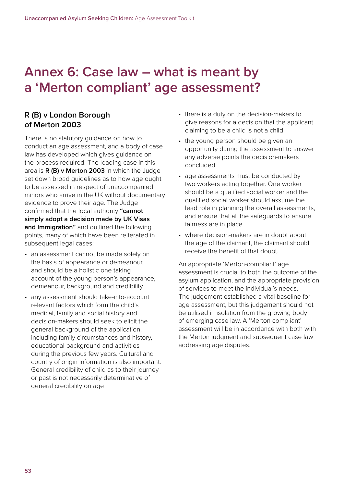## **Annex 6: Case law – what is meant by a 'Merton compliant' age assessment?**

## **R (B) v London Borough of Merton 2003**

There is no statutory guidance on how to conduct an age assessment, and a body of case law has developed which gives guidance on the process required. The leading case in this area is **R (B) v Merton 2003** in which the Judge set down broad guidelines as to how age ought to be assessed in respect of unaccompanied minors who arrive in the UK without documentary evidence to prove their age. The Judge confirmed that the local authority **"cannot simply adopt a decision made by UK Visas and Immigration"** and outlined the following points, many of which have been reiterated in subsequent legal cases:

- an assessment cannot be made solely on the basis of appearance or demeanour, and should be a holistic one taking account of the young person's appearance, demeanour, background and credibility
- any assessment should take-into-account relevant factors which form the child's medical, family and social history and decision-makers should seek to elicit the general background of the application, including family circumstances and history, educational background and activities during the previous few years. Cultural and country of origin information is also important. General credibility of child as to their journey or past is not necessarily determinative of general credibility on age
- there is a duty on the decision-makers to give reasons for a decision that the applicant claiming to be a child is not a child
- the young person should be given an opportunity during the assessment to answer any adverse points the decision-makers concluded
- age assessments must be conducted by two workers acting together. One worker should be a qualified social worker and the qualified social worker should assume the lead role in planning the overall assessments, and ensure that all the safeguards to ensure fairness are in place
- where decision-makers are in doubt about the age of the claimant, the claimant should receive the benefit of that doubt.

An appropriate 'Merton-compliant' age assessment is crucial to both the outcome of the asylum application, and the appropriate provision of services to meet the individual's needs. The judgement established a vital baseline for age assessment, but this judgement should not be utilised in isolation from the growing body of emerging case law. A 'Merton compliant' assessment will be in accordance with both with the Merton judgment and subsequent case law addressing age disputes.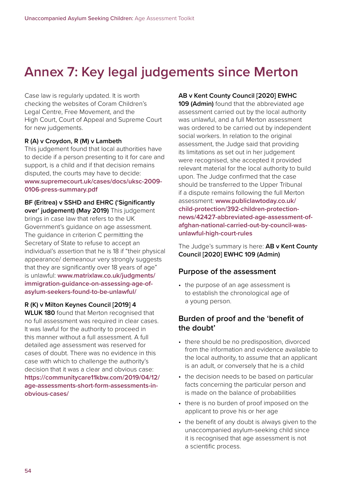## **Annex 7: Key legal judgements since Merton**

Case law is regularly updated. It is worth checking the websites of Coram Children's Legal Centre, Free Movement, and the High Court, Court of Appeal and Supreme Court for new judgements.

#### **R (A) v Croydon, R (M) v Lambeth**

This judgement found that local authorities have to decide if a person presenting to it for care and support, is a child and if that decision remains disputed, the courts may have to decide: **[www.supremecourt.uk/cases/docs/uksc-2009-](https://www.supremecourt.uk/cases/docs/uksc-2009-0106-press-summary.pdf) [0106-press-summary.pdf](https://www.supremecourt.uk/cases/docs/uksc-2009-0106-press-summary.pdf)**

**BF (Eritrea) v SSHD and EHRC ('Significantly** 

**over' judgement) (May 2019)** This judgement brings in case law that refers to the UK Government's guidance on age assessment. The guidance in criterion C permitting the Secretary of State to refuse to accept an individual's assertion that he is 18 if "their physical appearance/ demeanour very strongly suggests that they are significantly over 18 years of age" is unlawful: **[www.matrixlaw.co.uk/judgments/](https://www.matrixlaw.co.uk/judgments/immigration-guidance-on-assessing-age-of-asylum-seekers-found-to-be-unlawful/) [immigration-guidance-on-assessing-age-of](https://www.matrixlaw.co.uk/judgments/immigration-guidance-on-assessing-age-of-asylum-seekers-found-to-be-unlawful/)[asylum-seekers-found-to-be-unlawful/](https://www.matrixlaw.co.uk/judgments/immigration-guidance-on-assessing-age-of-asylum-seekers-found-to-be-unlawful/)**

#### **R (K) v Milton Keynes Council [2019] 4**

**WLUK 180** found that Merton recognised that no full assessment was required in clear cases. It was lawful for the authority to proceed in this manner without a full assessment. A full detailed age assessment was reserved for cases of doubt. There was no evidence in this case with which to challenge the authority's decision that it was a clear and obvious case: **[https://communitycare11kbw.com/2019/04/12/](https://communitycare11kbw.com/2019/04/12/age-assessments-short-form-assessments-in-obvious-cases/) [age-assessments-short-form-assessments-in](https://communitycare11kbw.com/2019/04/12/age-assessments-short-form-assessments-in-obvious-cases/)[obvious-cases/](https://communitycare11kbw.com/2019/04/12/age-assessments-short-form-assessments-in-obvious-cases/)**

#### **AB v Kent County Council [2020] EWHC**

**109 (Admin)** found that the abbreviated age assessment carried out by the local authority was unlawful, and a full Merton assessment was ordered to be carried out by independent social workers. In relation to the original assessment, the Judge said that providing its limitations as set out in her judgement were recognised, she accepted it provided relevant material for the local authority to build upon. The Judge confirmed that the case should be transferred to the Upper Tribunal if a dispute remains following the full Merton assessment: **[www.publiclawtoday.co.uk/](https://www.publiclawtoday.co.uk/child-protection/392-children-protection-news/42427-abbreviated-age-assessment-of-afghan-national-carried-out-by-council-was-unlawful-high-court-rules) [child-protection/392-children-protection](https://www.publiclawtoday.co.uk/child-protection/392-children-protection-news/42427-abbreviated-age-assessment-of-afghan-national-carried-out-by-council-was-unlawful-high-court-rules)[news/42427-abbreviated-age-assessment-of](https://www.publiclawtoday.co.uk/child-protection/392-children-protection-news/42427-abbreviated-age-assessment-of-afghan-national-carried-out-by-council-was-unlawful-high-court-rules)[afghan-national-carried-out-by-council-was](https://www.publiclawtoday.co.uk/child-protection/392-children-protection-news/42427-abbreviated-age-assessment-of-afghan-national-carried-out-by-council-was-unlawful-high-court-rules)[unlawful-high-court-rules](https://www.publiclawtoday.co.uk/child-protection/392-children-protection-news/42427-abbreviated-age-assessment-of-afghan-national-carried-out-by-council-was-unlawful-high-court-rules)**

The Judge's summary is here: **AB v Kent County Council [2020] EWHC 109 (Admin)**

#### **Purpose of the assessment**

• the purpose of an age assessment is to establish the chronological age of a young person.

#### **Burden of proof and the 'benefit of the doubt'**

- there should be no predisposition, divorced from the information and evidence available to the local authority, to assume that an applicant is an adult, or conversely that he is a child
- the decision needs to be based on particular facts concerning the particular person and is made on the balance of probabilities
- there is no burden of proof imposed on the applicant to prove his or her age
- the benefit of any doubt is always given to the unaccompanied asylum-seeking child since it is recognised that age assessment is not a scientific process.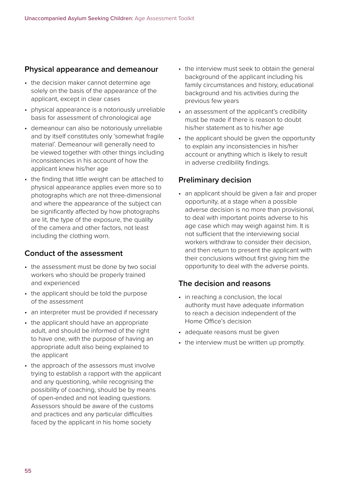#### **Physical appearance and demeanour**

- the decision maker cannot determine age solely on the basis of the appearance of the applicant, except in clear cases
- physical appearance is a notoriously unreliable basis for assessment of chronological age
- demeanour can also be notoriously unreliable and by itself constitutes only 'somewhat fragile material'. Demeanour will generally need to be viewed together with other things including inconsistencies in his account of how the applicant knew his/her age
- the finding that little weight can be attached to physical appearance applies even more so to photographs which are not three-dimensional and where the appearance of the subject can be significantly affected by how photographs are lit, the type of the exposure, the quality of the camera and other factors, not least including the clothing worn.

## **Conduct of the assessment**

- the assessment must be done by two social workers who should be properly trained and experienced
- the applicant should be told the purpose of the assessment
- an interpreter must be provided if necessary
- the applicant should have an appropriate adult, and should be informed of the right to have one, with the purpose of having an appropriate adult also being explained to the applicant
- the approach of the assessors must involve trying to establish a rapport with the applicant and any questioning, while recognising the possibility of coaching, should be by means of open-ended and not leading questions. Assessors should be aware of the customs and practices and any particular difficulties faced by the applicant in his home society
- the interview must seek to obtain the general background of the applicant including his family circumstances and history, educational background and his activities during the previous few years
- an assessment of the applicant's credibility must be made if there is reason to doubt his/her statement as to his/her age
- the applicant should be given the opportunity to explain any inconsistencies in his/her account or anything which is likely to result in adverse credibility findings.

## **Preliminary decision**

• an applicant should be given a fair and proper opportunity, at a stage when a possible adverse decision is no more than provisional, to deal with important points adverse to his age case which may weigh against him. It is not sufficient that the interviewing social workers withdraw to consider their decision, and then return to present the applicant with their conclusions without first giving him the opportunity to deal with the adverse points.

## **The decision and reasons**

- in reaching a conclusion, the local authority must have adequate information to reach a decision independent of the Home Office's decision
- adequate reasons must be given
- the interview must be written up promptly.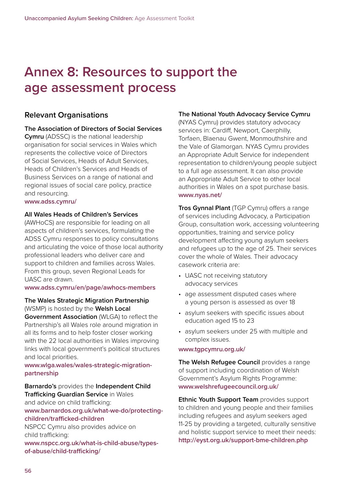## **Annex 8: Resources to support the age assessment process**

#### **Relevant Organisations**

#### **The Association of Directors of Social Services**

**Cymru** (ADSSC) is the national leadership organisation for social services in Wales which represents the collective voice of Directors of Social Services, Heads of Adult Services, Heads of Children's Services and Heads of Business Services on a range of national and regional issues of social care policy, practice and resourcing.

#### **[www.adss.cymru/](https://www.adss.cymru/)**

#### **All Wales Heads of Children's Services**

(AWHoCS) are responsible for leading on all aspects of children's services, formulating the ADSS Cymru responses to policy consultations and articulating the voice of those local authority professional leaders who deliver care and support to children and families across Wales. From this group, seven Regional Leads for UASC are drawn.

#### **[www.adss.cymru/en/page/awhocs-members](https://www.adss.cymru/en/page/awhocs-members)**

**The Wales Strategic Migration Partnership** (WSMP) is hosted by the **Welsh Local Government Association** (WLGA) to reflect the Partnership's all Wales role around migration in all its forms and to help foster closer working with the 22 local authorities in Wales improving links with local government's political structures and local priorities.

#### **[www.wlga.wales/wales-strategic-migration](https://www.wlga.wales/wales-strategic-migration-partnership)[partnership](https://www.wlga.wales/wales-strategic-migration-partnership)**

#### **Barnardo's** provides the **Independent Child Trafficking Guardian Service** in Wales and advice on child trafficking: **[www.barnardos.org.uk/what-we-do/protecting](https://www.barnardos.org.uk/what-we-do/protecting-children/trafficked-children)[children/trafficked-children](https://www.barnardos.org.uk/what-we-do/protecting-children/trafficked-children)**

NSPCC Cymru also provides advice on child trafficking:

**[www.nspcc.org.uk/what-is-child-abuse/types](https://www.nspcc.org.uk/what-is-child-abuse/types-of-abuse/child-trafficking/)[of-abuse/child-trafficking/](https://www.nspcc.org.uk/what-is-child-abuse/types-of-abuse/child-trafficking/)**

#### **The National Youth Advocacy Service Cymru**

(NYAS Cymru) provides statutory advocacy services in: Cardiff, Newport, Caerphilly, Torfaen, Blaenau Gwent, Monmouthshire and the Vale of Glamorgan. NYAS Cymru provides an Appropriate Adult Service for independent representation to children/young people subject to a full age assessment. It can also provide an Appropriate Adult Service to other local authorities in Wales on a spot purchase basis. **[www.nyas.net/](https://www.nyas.net/)**

**Tros Gynnal Plant** (TGP Cymru) offers a range of services including Advocacy, a Participation Group, consultation work, accessing volunteering opportunities, training and service policy development affecting young asylum seekers and refugees up to the age of 25. Their services cover the whole of Wales. Their advocacy casework criteria are:

- UASC not receiving statutory advocacy services
- age assessment disputed cases where a young person is assessed as over 18
- asylum seekers with specific issues about education aged 15 to 23
- asylum seekers under 25 with multiple and complex issues.

#### **[www.tgpcymru.org.uk/](https://www.tgpcymru.org.uk/)**

**The Welsh Refugee Council** provides a range of support including coordination of Welsh Government's Asylum Rights Programme: **[www.welshrefugeecouncil.org.uk/](https://www.welshrefugeecouncil.org.uk/)**

**Ethnic Youth Support Team** provides support to children and young people and their families including refugees and asylum seekers aged 11-25 by providing a targeted, culturally sensitive and holistic support service to meet their needs: **<http://eyst.org.uk/support-bme-children.php>**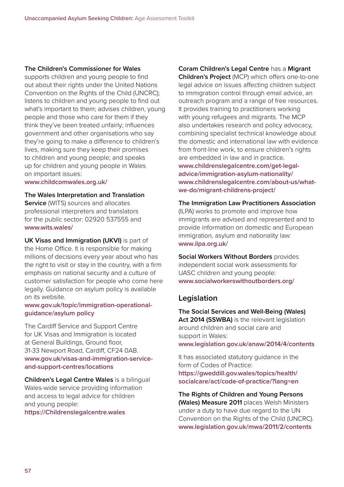#### **The Children's Commissioner for Wales**

supports children and young people to find out about their rights under the United Nations Convention on the Rights of the Child (UNCRC); listens to children and young people to find out what's important to them; advises children, young people and those who care for them if they think they've been treated unfairly; influences government and other organisations who say they're going to make a difference to children's lives, making sure they keep their promises to children and young people; and speaks up for children and young people in Wales on important issues:

**[www.childcomwales.org.uk/](https://www.childcomwales.org.uk/)**

**The Wales Interpretation and Translation Service** (WITS) sources and allocates professional interpreters and translators for the public sector: 02920 537555 and **[www.wits.wales/](https://www.wits.wales/)**

**UK Visas and Immigration (UKVI)** is part of the Home Office. It is responsible for making millions of decisions every year about who has the right to visit or stay in the country, with a firm emphasis on national security and a culture of customer satisfaction for people who come here legally. Guidance on asylum policy is available on its website.

#### **[www.gov.uk/topic/immigration-operational](https://www.gov.uk/topic/immigration-operational-guidance/asylum policy)[guidance/asylum policy](https://www.gov.uk/topic/immigration-operational-guidance/asylum policy)**

The Cardiff Service and Support Centre for UK Visas and Immigration is located at General Buildings, Ground floor, 31-33 Newport Road, Cardiff, CF24 0AB. **[www.gov.uk/visas-and-immigration-service](https://www.gov.uk/visas-and-immigration-service-and-support-centres/locations)[and-support-centres/locations](https://www.gov.uk/visas-and-immigration-service-and-support-centres/locations)**

**Children's Legal Centre Wales** is a bilingual Wales-wide service providing information and access to legal advice for children and young people:

**<https://Childrenslegalcentre.wales>**

#### **Coram Children's Legal Centre** has a **Migrant**

**Children's Project** (MCP) which offers one-to-one legal advice on issues affecting children subject to immigration control through email advice, an outreach program and a range of free resources. It provides training to practitioners working with young refugees and migrants. The MCP also undertakes research and policy advocacy, combining specialist technical knowledge about the domestic and international law with evidence from front-line work, to ensure children's rights are embedded in law and in practice. **[www.childrenslegalcentre.com/get-legal](https://www.childrenslegalcentre.com/get-legal-advice/immigration-asylum-nationality/)[advice/immigration-asylum-nationality/](https://www.childrenslegalcentre.com/get-legal-advice/immigration-asylum-nationality/) [www.childrenslegalcentre.com/about-us/what](https://www.childrenslegalcentre.com/about-us/what-we-do/migrant-childrens-project/)[we-do/migrant-childrens-project/](https://www.childrenslegalcentre.com/about-us/what-we-do/migrant-childrens-project/)**

#### **The Immigration Law Practitioners Association** (ILPA) works to promote and improve how immigrants are advised and represented and to provide information on domestic and European immigration, asylum and nationality law: **[www.ilpa.org.uk/](http://www.ilpa.org.uk/)**

**Social Workers Without Borders** provides independent social work assessments for UASC children and young people: **[www.socialworkerswithoutborders.org/](https://www.socialworkerswithoutborders.org/)**

## **Legislation**

**The Social Services and Well-Being (Wales) Act 2014 (SSWBA)** is the relevant legislation around children and social care and support in Wales: **[www.legislation.gov.uk/anaw/2014/4/contents](https://www.legislation.gov.uk/anaw/2014/4/contents)**

It has associated statutory guidance in the form of Codes of Practice: **[https://gweddill.gov.wales/topics/health/](https://gweddill.gov.wales/topics/health/socialcare/act/code-of-practice/?lang=en) [socialcare/act/code-of-practice/?lang=en](https://gweddill.gov.wales/topics/health/socialcare/act/code-of-practice/?lang=en)**

**The Rights of Children and Young Persons (Wales) Measure 2011** places Welsh Ministers under a duty to have due regard to the UN Convention on the Rights of the Child (UNCRC). **[www.legislation.gov.uk/mwa/2011/2/contents](http://www.legislation.gov.uk/mwa/2011/2/contents)**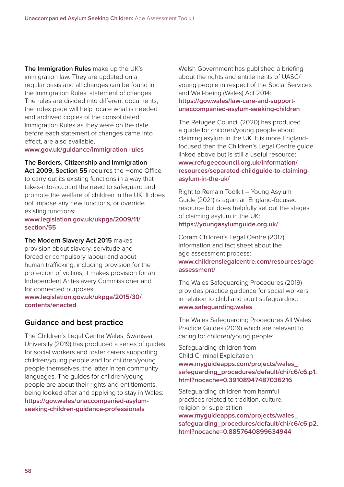**The Immigration Rules** make up the UK's immigration law. They are updated on a regular basis and all changes can be found in the Immigration Rules: statement of changes. The rules are divided into different documents, the index page will help locate what is needed and archived copies of the consolidated Immigration Rules as they were on the date before each statement of changes came into effect, are also available.

#### **[www.gov.uk/guidance/immigration-rules](https://www.gov.uk/guidance/immigration-rules)**

**The Borders, Citizenship and Immigration** 

**Act 2009, Section 55** requires the Home Office to carry out its existing functions in a way that takes-into-account the need to safeguard and promote the welfare of children in the UK. It does not impose any new functions, or override existing functions:

#### **[www.legislation.gov.uk/ukpga/2009/11/](http://www.legislation.gov.uk/ukpga/2009/11/section/55) [section/55](http://www.legislation.gov.uk/ukpga/2009/11/section/55)**

**The Modern Slavery Act 2015** makes

provision about slavery, servitude and forced or compulsory labour and about human trafficking, including provision for the protection of victims; it makes provision for an Independent Anti-slavery Commissioner and for connected purposes.

**[www.legislation.gov.uk/ukpga/2015/30/](http://www.legislation.gov.uk/ukpga/2015/30/contents/enacted) [contents/enacted](http://www.legislation.gov.uk/ukpga/2015/30/contents/enacted)**

#### **Guidance and best practice**

The Children's Legal Centre Wales, Swansea University (2019) has produced a series of guides for social workers and foster carers supporting children/young people and for children/young people themselves, the latter in ten community languages. The guides for children/young people are about their rights and entitlements, being looked after and applying to stay in Wales: **[https://gov.wales/unaccompanied-asylum](https://gov.wales/unaccompanied-asylum-seeking-children-guidance-professionals)[seeking-children-guidance-professionals](https://gov.wales/unaccompanied-asylum-seeking-children-guidance-professionals)**

Welsh Government has published a briefing about the rights and entitlements of UASC/ young people in respect of the Social Services and Well-being (Wales) Act 2014: **[https://gov.wales/law-care-and-support](https://gov.wales/law-care-and-support-unaccompanied-asylum-seeking-children)[unaccompanied-asylum-seeking-children](https://gov.wales/law-care-and-support-unaccompanied-asylum-seeking-children)**

The Refugee Council (2020) has produced a guide for children/young people about claiming asylum in the UK. It is more Englandfocused than the Children's Legal Centre guide linked above but is still a useful resource: **[www.refugeecouncil.org.uk/information/](https://www.refugeecouncil.org.uk/information/resources/separated-childguide-to-claiming-asylum-in-the-uk/) [resources/separated-childguide-to-claiming](https://www.refugeecouncil.org.uk/information/resources/separated-childguide-to-claiming-asylum-in-the-uk/)[asylum-in-the-uk/](https://www.refugeecouncil.org.uk/information/resources/separated-childguide-to-claiming-asylum-in-the-uk/)**

Right to Remain Toolkit – Young Asylum Guide (2021) is again an England-focused resource but does helpfully set out the stages of claiming asylum in the UK: **<https://youngasylumguide.org.uk/>**

Coram Children's Legal Centre (2017) information and fact sheet about the age assessment process: **[www.childrenslegalcentre.com/resources/age](https://www.childrenslegalcentre.com/resources/age-assessment/)[assessment/](https://www.childrenslegalcentre.com/resources/age-assessment/)**

The Wales Safeguarding Procedures (2019) provides practice guidance for social workers in relation to child and adult safeguarding: **[www.safeguarding.wales](http://www.safeguarding.wales)**

The Wales Safeguarding Procedures All Wales Practice Guides (2019) which are relevant to caring for children/young people:

Safeguarding children from Child Criminal Exploitation **[www.myguideapps.com/projects/wales\\_](http://www.myguideapps.com/projects/wales_safeguarding_procedures/default/chi/c6/c6.p1.html?nocache=0.39108947487036216) [safeguarding\\_procedures/default/chi/c6/c6.p1.](http://www.myguideapps.com/projects/wales_safeguarding_procedures/default/chi/c6/c6.p1.html?nocache=0.39108947487036216) [html?nocache=0.39108947487036216](http://www.myguideapps.com/projects/wales_safeguarding_procedures/default/chi/c6/c6.p1.html?nocache=0.39108947487036216)**

Safeguarding children from harmful practices related to tradition, culture, religion or superstition

**[www.myguideapps.com/projects/wales\\_](http://www.myguideapps.com/projects/wales_safeguarding_procedures/default/chi/c6/c6.p2.html?nocache=0.8857640899634944) [safeguarding\\_procedures/default/chi/c6/c6.p2.](http://www.myguideapps.com/projects/wales_safeguarding_procedures/default/chi/c6/c6.p2.html?nocache=0.8857640899634944) [html?nocache=0.8857640899634944](http://www.myguideapps.com/projects/wales_safeguarding_procedures/default/chi/c6/c6.p2.html?nocache=0.8857640899634944)**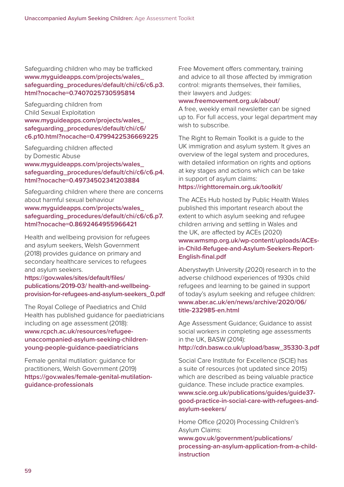Safeguarding children who may be trafficked **[www.myguideapps.com/projects/wales\\_](http://www.myguideapps.com/projects/wales_safeguarding_procedures/default/chi/c6/c6.p3.html?nocache=0.7407025730595814) [safeguarding\\_procedures/default/chi/c6/c6.p3.](http://www.myguideapps.com/projects/wales_safeguarding_procedures/default/chi/c6/c6.p3.html?nocache=0.7407025730595814) [html?nocache=0.7407025730595814](http://www.myguideapps.com/projects/wales_safeguarding_procedures/default/chi/c6/c6.p3.html?nocache=0.7407025730595814)**

Safeguarding children from Child Sexual Exploitation **[www.myguideapps.com/projects/wales\\_](http://www.myguideapps.com/projects/wales_safeguarding_procedures/default/chi/c6/c6.p10.html?nocache=0.4799422536669225) [safeguarding\\_procedures/default/chi/c6/](http://www.myguideapps.com/projects/wales_safeguarding_procedures/default/chi/c6/c6.p10.html?nocache=0.4799422536669225) [c6.p10.html?nocache=0.4799422536669225](http://www.myguideapps.com/projects/wales_safeguarding_procedures/default/chi/c6/c6.p10.html?nocache=0.4799422536669225)**

Safeguarding children affected by Domestic Abuse **[www.myguideapps.com/projects/wales\\_](http://www.myguideapps.com/projects/wales_safeguarding_procedures/default/chi/c6/c6.p4.html?nocache=0.49734502341203884) [safeguarding\\_procedures/default/chi/c6/c6.p4.](http://www.myguideapps.com/projects/wales_safeguarding_procedures/default/chi/c6/c6.p4.html?nocache=0.49734502341203884) [html?nocache=0.49734502341203884](http://www.myguideapps.com/projects/wales_safeguarding_procedures/default/chi/c6/c6.p4.html?nocache=0.49734502341203884)**

Safeguarding children where there are concerns about harmful sexual behaviour

**[www.myguideapps.com/projects/wales\\_](http://www.myguideapps.com/projects/wales_safeguarding_procedures/default/chi/c6/c6.p7.html?nocache=0.8692464955966421) [safeguarding\\_procedures/default/chi/c6/c6.p7.](http://www.myguideapps.com/projects/wales_safeguarding_procedures/default/chi/c6/c6.p7.html?nocache=0.8692464955966421) [html?nocache=0.8692464955966421](http://www.myguideapps.com/projects/wales_safeguarding_procedures/default/chi/c6/c6.p7.html?nocache=0.8692464955966421)**

Health and wellbeing provision for refugees and asylum seekers, Welsh Government (2018) provides guidance on primary and secondary healthcare services to refugees and asylum seekers.

**[https://gov.wales/sites/default/files/](https://gov.wales/sites/default/files/publications/2019-03/ health-and-wellbeing-provision-for-refugees-and-asylum-seekers_0.pdf) [publications/2019-03/ health-and-wellbeing](https://gov.wales/sites/default/files/publications/2019-03/ health-and-wellbeing-provision-for-refugees-and-asylum-seekers_0.pdf)[provision-for-refugees-and-asylum-seekers\\_0.pdf](https://gov.wales/sites/default/files/publications/2019-03/ health-and-wellbeing-provision-for-refugees-and-asylum-seekers_0.pdf)**

The Royal College of Paediatrics and Child Health has published guidance for paediatricians including on age assessment (2018): **[www.rcpch.ac.uk/resources/refugee](https://www.rcpch.ac.uk/resources/refugee-unaccompanied-asylum-seeking-children-young-people-guidance-paediatricians)[unaccompanied-asylum-seeking-children](https://www.rcpch.ac.uk/resources/refugee-unaccompanied-asylum-seeking-children-young-people-guidance-paediatricians)[young-people-guidance-paediatricians](https://www.rcpch.ac.uk/resources/refugee-unaccompanied-asylum-seeking-children-young-people-guidance-paediatricians)**

Female genital mutilation: guidance for practitioners, Welsh Government (2019) **[https://gov.wales/female-genital-mutilation](https://gov.wales/female-genital-mutilation-guidance-professionals)[guidance-professionals](https://gov.wales/female-genital-mutilation-guidance-professionals)**

Free Movement offers commentary, training and advice to all those affected by immigration control: migrants themselves, their families, their lawyers and Judges:

#### **[www.freemovement.org.uk/about/](https://www.freemovement.org.uk/about/)**

A free, weekly email newsletter can be signed up to. For full access, your legal department may wish to subscribe.

The Right to Remain Toolkit is a guide to the UK immigration and asylum system. It gives an overview of the legal system and procedures, with detailed information on rights and options at key stages and actions which can be take in support of asylum claims:

#### **<https://righttoremain.org.uk/toolkit/>**

The ACEs Hub hosted by Public Health Wales published this important research about the extent to which asylum seeking and refugee children arriving and settling in Wales and the UK, are affected by ACEs (2020) **[www.wmsmp.org.uk/wp-content/uploads/ACEs](https://www.wmsmp.org.uk/wp-content/uploads/ACEs-in-Child-Refugee-and-Asylum-Seekers-Report-English-final.pdf)[in-Child-Refugee-and-Asylum-Seekers-Report-](https://www.wmsmp.org.uk/wp-content/uploads/ACEs-in-Child-Refugee-and-Asylum-Seekers-Report-English-final.pdf)[English-final.pdf](https://www.wmsmp.org.uk/wp-content/uploads/ACEs-in-Child-Refugee-and-Asylum-Seekers-Report-English-final.pdf)**

Aberystwyth University (2020) research in to the adverse childhood experiences of 1930s child refugees and learning to be gained in support of today's asylum seeking and refugee children: **[www.aber.ac.uk/en/news/archive/2020/06/](https://www.aber.ac.uk/en/news/archive/2020/06/title-232985-en.html) [title-232985-en.html](https://www.aber.ac.uk/en/news/archive/2020/06/title-232985-en.html)**

Age Assessment Guidance; Guidance to assist social workers in completing age assessments in the UK, BASW (2014): **[http://cdn.basw.co.uk/upload/basw\\_35330-3.pdf](http://cdn.basw.co.uk/upload/basw_35330-3.pdf)**

Social Care Institute for Excellence (SCIE) has a suite of resources (not updated since 2015) which are described as being valuable practice guidance. These include practice examples. **[www.scie.org.uk/publications/guides/guide37](https://www.scie.org.uk/publications/guides/guide37-good-practice-in-social-care-with-refugees-and-asylum-seekers/) [good-practice-in-social-care-with-refugees-and](https://www.scie.org.uk/publications/guides/guide37-good-practice-in-social-care-with-refugees-and-asylum-seekers/)[asylum-seekers/](https://www.scie.org.uk/publications/guides/guide37-good-practice-in-social-care-with-refugees-and-asylum-seekers/)**

Home Office (2020) Processing Children's Asylum Claims: **[www.gov.uk/government/publications/](https://www.gov.uk/government/publications/processing-an-asylum-application-from-a-child-instruction) [processing-an-asylum-application-from-a-child](https://www.gov.uk/government/publications/processing-an-asylum-application-from-a-child-instruction)[instruction](https://www.gov.uk/government/publications/processing-an-asylum-application-from-a-child-instruction)**